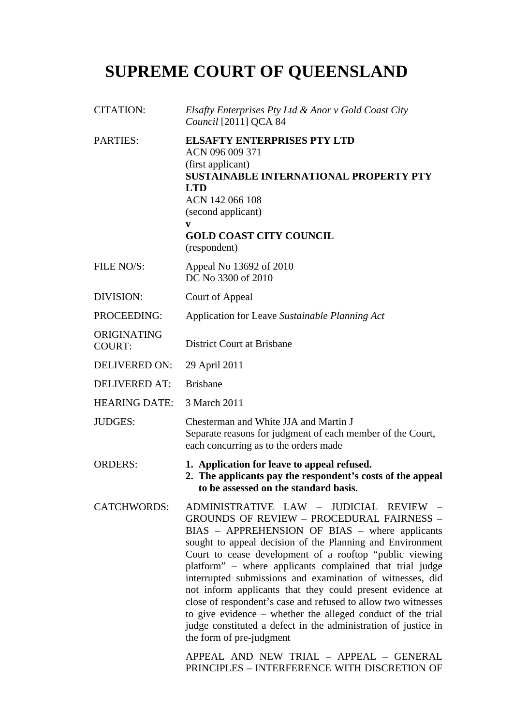# **SUPREME COURT OF QUEENSLAND**

| <b>CITATION:</b>             | Elsafty Enterprises Pty Ltd & Anor v Gold Coast City<br>Council [2011] QCA 84                                                                                                                                                                                                                                                                                                                                                                                                                                                                                                                                                                                                                                                                                                |
|------------------------------|------------------------------------------------------------------------------------------------------------------------------------------------------------------------------------------------------------------------------------------------------------------------------------------------------------------------------------------------------------------------------------------------------------------------------------------------------------------------------------------------------------------------------------------------------------------------------------------------------------------------------------------------------------------------------------------------------------------------------------------------------------------------------|
| <b>PARTIES:</b>              | <b>ELSAFTY ENTERPRISES PTY LTD</b><br>ACN 096 009 371<br>(first applicant)<br><b>SUSTAINABLE INTERNATIONAL PROPERTY PTY</b><br><b>LTD</b><br>ACN 142 066 108<br>(second applicant)<br>V<br><b>GOLD COAST CITY COUNCIL</b><br>(respondent)                                                                                                                                                                                                                                                                                                                                                                                                                                                                                                                                    |
| FILE NO/S:                   | Appeal No 13692 of 2010<br>DC No 3300 of 2010                                                                                                                                                                                                                                                                                                                                                                                                                                                                                                                                                                                                                                                                                                                                |
| <b>DIVISION:</b>             | Court of Appeal                                                                                                                                                                                                                                                                                                                                                                                                                                                                                                                                                                                                                                                                                                                                                              |
| PROCEEDING:                  | Application for Leave Sustainable Planning Act                                                                                                                                                                                                                                                                                                                                                                                                                                                                                                                                                                                                                                                                                                                               |
| ORIGINATING<br><b>COURT:</b> | <b>District Court at Brisbane</b>                                                                                                                                                                                                                                                                                                                                                                                                                                                                                                                                                                                                                                                                                                                                            |
| <b>DELIVERED ON:</b>         | 29 April 2011                                                                                                                                                                                                                                                                                                                                                                                                                                                                                                                                                                                                                                                                                                                                                                |
| <b>DELIVERED AT:</b>         | <b>Brisbane</b>                                                                                                                                                                                                                                                                                                                                                                                                                                                                                                                                                                                                                                                                                                                                                              |
| <b>HEARING DATE:</b>         | 3 March 2011                                                                                                                                                                                                                                                                                                                                                                                                                                                                                                                                                                                                                                                                                                                                                                 |
| <b>JUDGES:</b>               | Chesterman and White JJA and Martin J<br>Separate reasons for judgment of each member of the Court,<br>each concurring as to the orders made                                                                                                                                                                                                                                                                                                                                                                                                                                                                                                                                                                                                                                 |
| <b>ORDERS:</b>               | 1. Application for leave to appeal refused.<br>2. The applicants pay the respondent's costs of the appeal<br>to be assessed on the standard basis.                                                                                                                                                                                                                                                                                                                                                                                                                                                                                                                                                                                                                           |
| <b>CATCHWORDS:</b>           | ADMINISTRATIVE LAW - JUDICIAL REVIEW -<br>GROUNDS OF REVIEW - PROCEDURAL FAIRNESS -<br>BIAS - APPREHENSION OF BIAS - where applicants<br>sought to appeal decision of the Planning and Environment<br>Court to cease development of a rooftop "public viewing<br>platform" – where applicants complained that trial judge<br>interrupted submissions and examination of witnesses, did<br>not inform applicants that they could present evidence at<br>close of respondent's case and refused to allow two witnesses<br>to give evidence – whether the alleged conduct of the trial<br>judge constituted a defect in the administration of justice in<br>the form of pre-judgment<br>APPEAL AND NEW TRIAL - APPEAL - GENERAL<br>PRINCIPLES - INTERFERENCE WITH DISCRETION OF |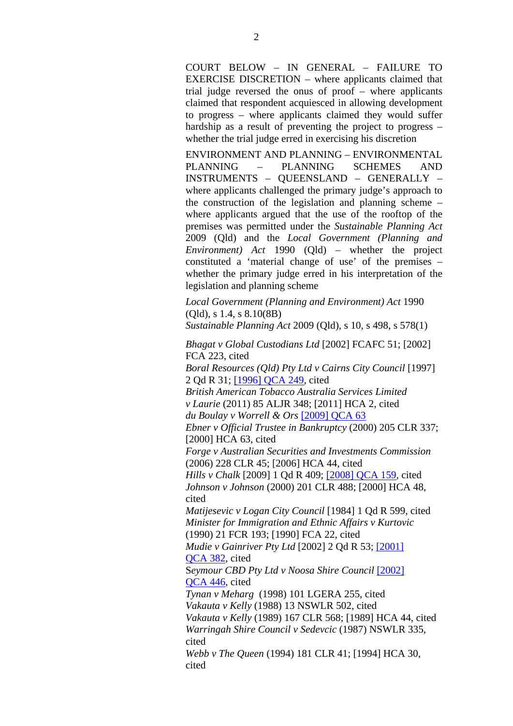COURT BELOW – IN GENERAL – FAILURE TO EXERCISE DISCRETION – where applicants claimed that trial judge reversed the onus of proof – where applicants claimed that respondent acquiesced in allowing development to progress – where applicants claimed they would suffer hardship as a result of preventing the project to progress – whether the trial judge erred in exercising his discretion

ENVIRONMENT AND PLANNING – ENVIRONMENTAL PLANNING – PLANNING SCHEMES AND INSTRUMENTS – QUEENSLAND – GENERALLY – where applicants challenged the primary judge's approach to the construction of the legislation and planning scheme – where applicants argued that the use of the rooftop of the premises was permitted under the *Sustainable Planning Act* 2009 (Qld) and the *Local Government (Planning and Environment) Act* 1990 (Qld) – whether the project constituted a 'material change of use' of the premises – whether the primary judge erred in his interpretation of the legislation and planning scheme

*Local Government (Planning and Environment) Act* 1990 (Qld), s 1.4, s 8.10(8B)

*Sustainable Planning Act* 2009 (Qld), s 10, s 498, s 578(1)

*Bhagat v Global Custodians Ltd* [2002] FCAFC 51; [2002] FCA 223, cited

*Boral Resources (Qld) Pty Ltd v Cairns City Council* [1997] 2 Qd R 31; [1996] QCA 249, cited

*British American Tobacco Australia Services Limited v Laurie* (2011) 85 ALJR 348; [2011] HCA 2, cited *du Boulay v Worrell & Ors* [2009] QCA 63

*Ebner v Official Trustee in Bankruptcy* (2000) 205 CLR 337; [2000] HCA 63, cited

*Forge v Australian Securities and Investments Commission* (2006) 228 CLR 45; [2006] HCA 44, cited

*Hills v Chalk* [2009] 1 Qd R 409; [2008] QCA 159, cited *Johnson v Johnson* (2000) 201 CLR 488; [2000] HCA 48, cited

*Matijesevic v Logan City Council* [1984] 1 Qd R 599, cited *Minister for Immigration and Ethnic Affairs v Kurtovic*  (1990) 21 FCR 193; [1990] FCA 22, cited

*Mudie v Gainriver Pty Ltd* [2002] 2 Qd R 53; [2001] QCA 382, cited

S*eymour CBD Pty Ltd v Noosa Shire Council* [2002] QCA 446, cited

*Tynan v Meharg* (1998) 101 LGERA 255, cited *Vakauta v Kelly* (1988) 13 NSWLR 502, cited *Vakauta v Kelly* (1989) 167 CLR 568; [1989] HCA 44, cited

*Warringah Shire Council v Sedevcic* (1987) NSWLR 335, cited

*Webb v The Queen* (1994) 181 CLR 41; [1994] HCA 30, cited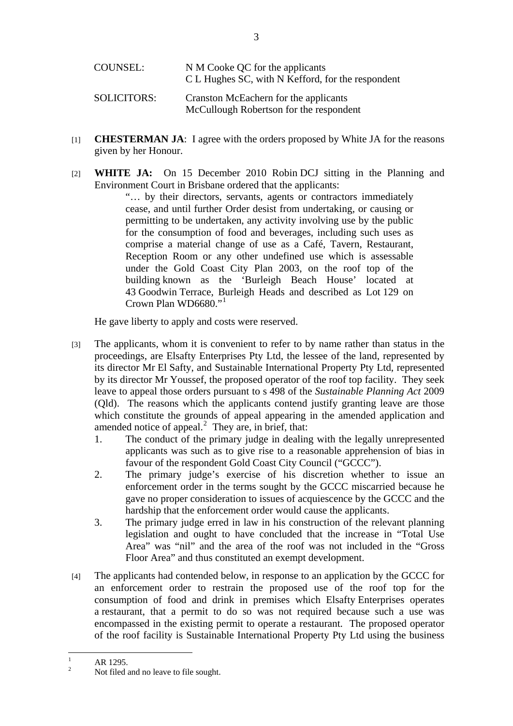| COUNSEL:           | N M Cooke QC for the applicants<br>C L Hughes SC, with N Kefford, for the respondent |
|--------------------|--------------------------------------------------------------------------------------|
| <b>SOLICITORS:</b> | Cranston McEachern for the applicants<br>McCullough Robertson for the respondent     |

- [1] **CHESTERMAN JA**: I agree with the orders proposed by White JA for the reasons given by her Honour.
- [2] **WHITE JA:** On 15 December 2010 Robin DCJ sitting in the Planning and Environment Court in Brisbane ordered that the applicants:

"… by their directors, servants, agents or contractors immediately cease, and until further Order desist from undertaking, or causing or permitting to be undertaken, any activity involving use by the public for the consumption of food and beverages, including such uses as comprise a material change of use as a Café, Tavern, Restaurant, Reception Room or any other undefined use which is assessable under the Gold Coast City Plan 2003, on the roof top of the building known as the 'Burleigh Beach House' located at 43 Goodwin Terrace, Burleigh Heads and described as Lot 129 on Crown Plan WD6680."

He gave liberty to apply and costs were reserved.

- [3] The applicants, whom it is convenient to refer to by name rather than status in the proceedings, are Elsafty Enterprises Pty Ltd, the lessee of the land, represented by its director Mr El Safty, and Sustainable International Property Pty Ltd, represented by its director Mr Youssef, the proposed operator of the roof top facility. They seek leave to appeal those orders pursuant to s 498 of the *Sustainable Planning Act* 2009 (Qld). The reasons which the applicants contend justify granting leave are those which constitute the grounds of appeal appearing in the amended application and amended notice of appeal. $<sup>2</sup>$  They are, in brief, that:</sup>
	- 1. The conduct of the primary judge in dealing with the legally unrepresented applicants was such as to give rise to a reasonable apprehension of bias in favour of the respondent Gold Coast City Council ("GCCC").
	- 2. The primary judge's exercise of his discretion whether to issue an enforcement order in the terms sought by the GCCC miscarried because he gave no proper consideration to issues of acquiescence by the GCCC and the hardship that the enforcement order would cause the applicants.
	- 3. The primary judge erred in law in his construction of the relevant planning legislation and ought to have concluded that the increase in "Total Use Area" was "nil" and the area of the roof was not included in the "Gross Floor Area" and thus constituted an exempt development.
- [4] The applicants had contended below, in response to an application by the GCCC for an enforcement order to restrain the proposed use of the roof top for the consumption of food and drink in premises which Elsafty Enterprises operates a restaurant, that a permit to do so was not required because such a use was encompassed in the existing permit to operate a restaurant. The proposed operator of the roof facility is Sustainable International Property Pty Ltd using the business

 $\frac{1}{1}$ AR 1295.

 $\gamma$ Not filed and no leave to file sought.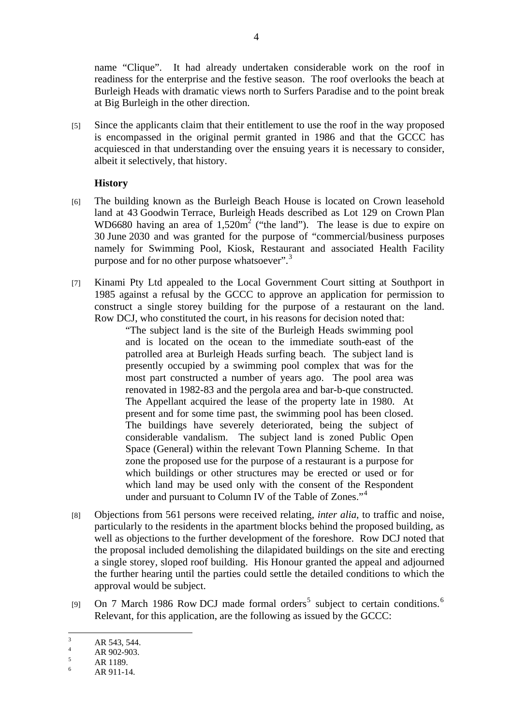name "Clique". It had already undertaken considerable work on the roof in readiness for the enterprise and the festive season. The roof overlooks the beach at Burleigh Heads with dramatic views north to Surfers Paradise and to the point break at Big Burleigh in the other direction.

[5] Since the applicants claim that their entitlement to use the roof in the way proposed is encompassed in the original permit granted in 1986 and that the GCCC has acquiesced in that understanding over the ensuing years it is necessary to consider, albeit it selectively, that history.

## **History**

- [6] The building known as the Burleigh Beach House is located on Crown leasehold land at 43 Goodwin Terrace, Burleigh Heads described as Lot 129 on Crown Plan WD6680 having an area of  $1,520m^2$  ("the land"). The lease is due to expire on 30 June 2030 and was granted for the purpose of "commercial/business purposes namely for Swimming Pool, Kiosk, Restaurant and associated Health Facility purpose and for no other purpose whatsoever".<sup>3</sup>
- [7] Kinami Pty Ltd appealed to the Local Government Court sitting at Southport in 1985 against a refusal by the GCCC to approve an application for permission to construct a single storey building for the purpose of a restaurant on the land. Row DCJ, who constituted the court, in his reasons for decision noted that:

"The subject land is the site of the Burleigh Heads swimming pool and is located on the ocean to the immediate south-east of the patrolled area at Burleigh Heads surfing beach. The subject land is presently occupied by a swimming pool complex that was for the most part constructed a number of years ago. The pool area was renovated in 1982-83 and the pergola area and bar-b-que constructed. The Appellant acquired the lease of the property late in 1980. At present and for some time past, the swimming pool has been closed. The buildings have severely deteriorated, being the subject of considerable vandalism. The subject land is zoned Public Open Space (General) within the relevant Town Planning Scheme. In that zone the proposed use for the purpose of a restaurant is a purpose for which buildings or other structures may be erected or used or for which land may be used only with the consent of the Respondent under and pursuant to Column IV of the Table of Zones."<sup>4</sup>

- [8] Objections from 561 persons were received relating, *inter alia*, to traffic and noise, particularly to the residents in the apartment blocks behind the proposed building, as well as objections to the further development of the foreshore. Row DCJ noted that the proposal included demolishing the dilapidated buildings on the site and erecting a single storey, sloped roof building. His Honour granted the appeal and adjourned the further hearing until the parties could settle the detailed conditions to which the approval would be subject.
- [9] On 7 March 1986 Row DCJ made formal orders<sup>5</sup> subject to certain conditions.<sup>6</sup> Relevant, for this application, are the following as issued by the GCCC:

<sup>&</sup>lt;sup>2</sup><br>3 AR 543, 544.

<sup>4</sup> AR 902-903.

<sup>5</sup> AR 1189.

<sup>6</sup> AR 911-14.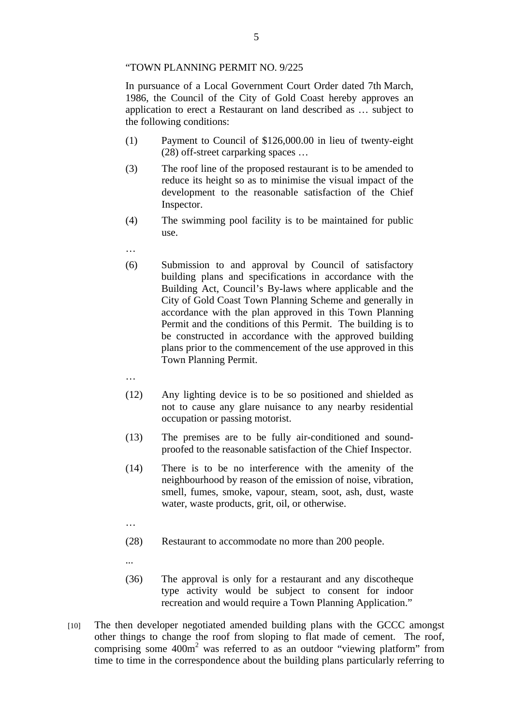#### "TOWN PLANNING PERMIT NO. 9/225

In pursuance of a Local Government Court Order dated 7th March, 1986, the Council of the City of Gold Coast hereby approves an application to erect a Restaurant on land described as … subject to the following conditions:

- (1) Payment to Council of \$126,000.00 in lieu of twenty-eight (28) off-street carparking spaces …
- (3) The roof line of the proposed restaurant is to be amended to reduce its height so as to minimise the visual impact of the development to the reasonable satisfaction of the Chief Inspector.
- (4) The swimming pool facility is to be maintained for public use.
- …
- (6) Submission to and approval by Council of satisfactory building plans and specifications in accordance with the Building Act, Council's By-laws where applicable and the City of Gold Coast Town Planning Scheme and generally in accordance with the plan approved in this Town Planning Permit and the conditions of this Permit. The building is to be constructed in accordance with the approved building plans prior to the commencement of the use approved in this Town Planning Permit.
- …
- (12) Any lighting device is to be so positioned and shielded as not to cause any glare nuisance to any nearby residential occupation or passing motorist.
- (13) The premises are to be fully air-conditioned and soundproofed to the reasonable satisfaction of the Chief Inspector.
- (14) There is to be no interference with the amenity of the neighbourhood by reason of the emission of noise, vibration, smell, fumes, smoke, vapour, steam, soot, ash, dust, waste water, waste products, grit, oil, or otherwise.
- …
- (28) Restaurant to accommodate no more than 200 people.
- ...
- (36) The approval is only for a restaurant and any discotheque type activity would be subject to consent for indoor recreation and would require a Town Planning Application."
- [10] The then developer negotiated amended building plans with the GCCC amongst other things to change the roof from sloping to flat made of cement. The roof, comprising some  $400m^2$  was referred to as an outdoor "viewing platform" from time to time in the correspondence about the building plans particularly referring to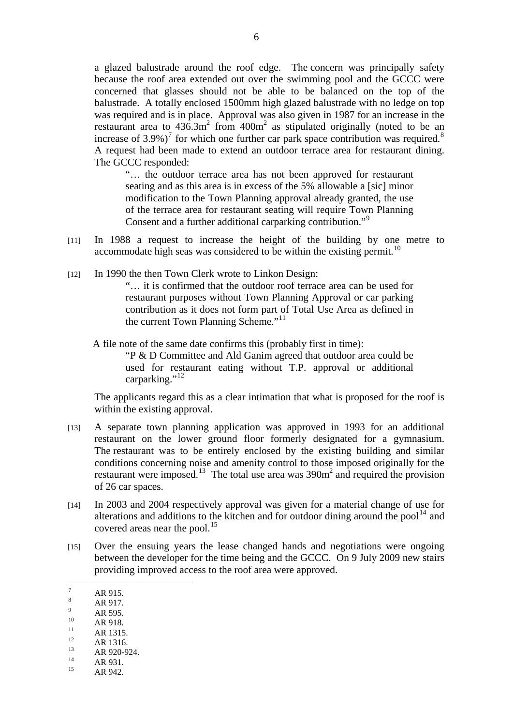a glazed balustrade around the roof edge. The concern was principally safety because the roof area extended out over the swimming pool and the GCCC were concerned that glasses should not be able to be balanced on the top of the balustrade. A totally enclosed 1500mm high glazed balustrade with no ledge on top was required and is in place. Approval was also given in 1987 for an increase in the restaurant area to  $436.3 \text{m}^2$  from  $400 \text{m}^2$  as stipulated originally (noted to be an increase of 3.9%)<sup>7</sup> for which one further car park space contribution was required.<sup>8</sup> A request had been made to extend an outdoor terrace area for restaurant dining. The GCCC responded:

"… the outdoor terrace area has not been approved for restaurant seating and as this area is in excess of the 5% allowable a [sic] minor modification to the Town Planning approval already granted, the use of the terrace area for restaurant seating will require Town Planning Consent and a further additional carparking contribution."<sup>9</sup>

- [11] In 1988 a request to increase the height of the building by one metre to accommodate high seas was considered to be within the existing permit.<sup>10</sup>
- [12] In 1990 the then Town Clerk wrote to Linkon Design:

"… it is confirmed that the outdoor roof terrace area can be used for restaurant purposes without Town Planning Approval or car parking contribution as it does not form part of Total Use Area as defined in the current Town Planning Scheme."<sup>11</sup>

A file note of the same date confirms this (probably first in time):

"P & D Committee and Ald Ganim agreed that outdoor area could be used for restaurant eating without T.P. approval or additional carparking."<sup>12</sup>

The applicants regard this as a clear intimation that what is proposed for the roof is within the existing approval.

- [13] A separate town planning application was approved in 1993 for an additional restaurant on the lower ground floor formerly designated for a gymnasium. The restaurant was to be entirely enclosed by the existing building and similar conditions concerning noise and amenity control to those imposed originally for the restaurant were imposed.<sup>13</sup> The total use area was  $390m^2$  and required the provision of 26 car spaces.
- [14] In 2003 and 2004 respectively approval was given for a material change of use for alterations and additions to the kitchen and for outdoor dining around the pool<sup>14</sup> and covered areas near the pool.<sup>15</sup>
- [15] Over the ensuing years the lease changed hands and negotiations were ongoing between the developer for the time being and the GCCC. On 9 July 2009 new stairs providing improved access to the roof area were approved.

- 8 AR 917.  $\overline{9}$
- $AR_{10}^{9}$  AR 595.
- $\frac{10}{11}$  AR 918.
- $\frac{11}{12}$  AR 1315.
- $\frac{12}{13}$  AR 1316.

- $AR 931.$
- AR 942.

<sup>&</sup>lt;sup>-</sup> AR 915.

 $AR 920-924.$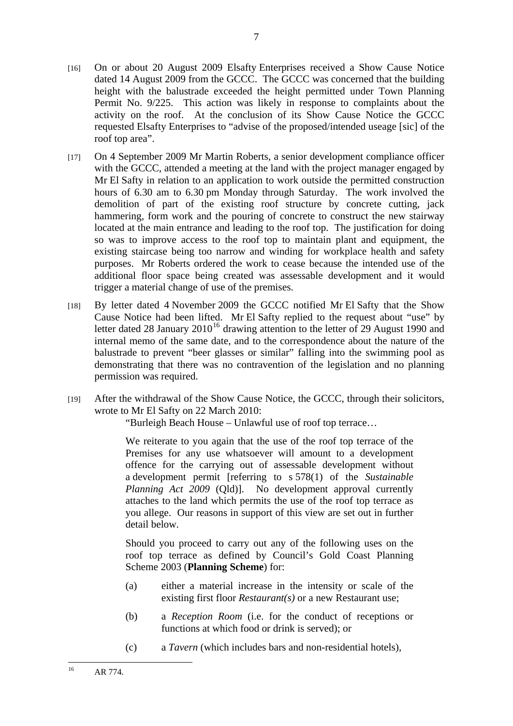- [16] On or about 20 August 2009 Elsafty Enterprises received a Show Cause Notice dated 14 August 2009 from the GCCC. The GCCC was concerned that the building height with the balustrade exceeded the height permitted under Town Planning Permit No. 9/225. This action was likely in response to complaints about the activity on the roof. At the conclusion of its Show Cause Notice the GCCC requested Elsafty Enterprises to "advise of the proposed/intended useage [sic] of the roof top area".
- [17] On 4 September 2009 Mr Martin Roberts, a senior development compliance officer with the GCCC, attended a meeting at the land with the project manager engaged by Mr El Safty in relation to an application to work outside the permitted construction hours of 6.30 am to 6.30 pm Monday through Saturday. The work involved the demolition of part of the existing roof structure by concrete cutting, jack hammering, form work and the pouring of concrete to construct the new stairway located at the main entrance and leading to the roof top. The justification for doing so was to improve access to the roof top to maintain plant and equipment, the existing staircase being too narrow and winding for workplace health and safety purposes. Mr Roberts ordered the work to cease because the intended use of the additional floor space being created was assessable development and it would trigger a material change of use of the premises.
- [18] By letter dated 4 November 2009 the GCCC notified Mr El Safty that the Show Cause Notice had been lifted. Mr El Safty replied to the request about "use" by letter dated 28 January  $2010^{16}$  drawing attention to the letter of 29 August 1990 and internal memo of the same date, and to the correspondence about the nature of the balustrade to prevent "beer glasses or similar" falling into the swimming pool as demonstrating that there was no contravention of the legislation and no planning permission was required.
- [19] After the withdrawal of the Show Cause Notice, the GCCC, through their solicitors, wrote to Mr El Safty on 22 March 2010:

"Burleigh Beach House – Unlawful use of roof top terrace…

We reiterate to you again that the use of the roof top terrace of the Premises for any use whatsoever will amount to a development offence for the carrying out of assessable development without a development permit [referring to s 578(1) of the *Sustainable Planning Act 2009* (Qld)]. No development approval currently attaches to the land which permits the use of the roof top terrace as you allege. Our reasons in support of this view are set out in further detail below.

Should you proceed to carry out any of the following uses on the roof top terrace as defined by Council's Gold Coast Planning Scheme 2003 (**Planning Scheme**) for:

- (a) either a material increase in the intensity or scale of the existing first floor *Restaurant(s)* or a new Restaurant use;
- (b) a *Reception Room* (i.e. for the conduct of receptions or functions at which food or drink is served); or
- (c) a *Tavern* (which includes bars and non-residential hotels),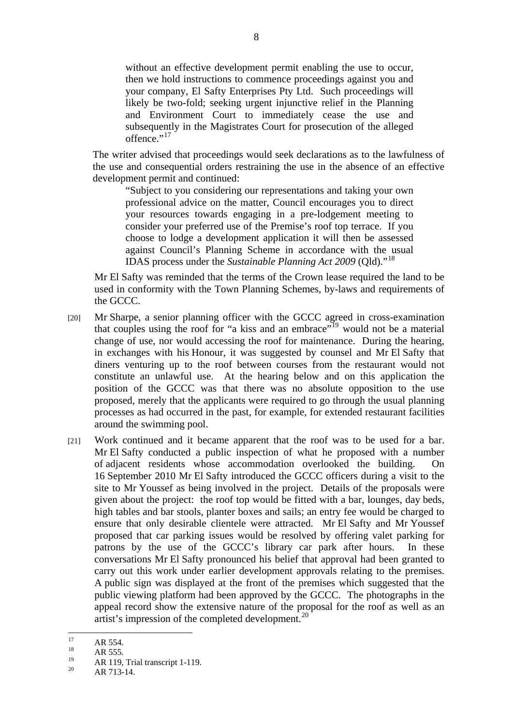without an effective development permit enabling the use to occur, then we hold instructions to commence proceedings against you and your company, El Safty Enterprises Pty Ltd. Such proceedings will likely be two-fold; seeking urgent injunctive relief in the Planning and Environment Court to immediately cease the use and subsequently in the Magistrates Court for prosecution of the alleged offence." $^{17}$ 

The writer advised that proceedings would seek declarations as to the lawfulness of the use and consequential orders restraining the use in the absence of an effective development permit and continued:

"Subject to you considering our representations and taking your own professional advice on the matter, Council encourages you to direct your resources towards engaging in a pre-lodgement meeting to consider your preferred use of the Premise's roof top terrace. If you choose to lodge a development application it will then be assessed against Council's Planning Scheme in accordance with the usual IDAS process under the *Sustainable Planning Act 2009* (Qld)."<sup>18</sup>

Mr El Safty was reminded that the terms of the Crown lease required the land to be used in conformity with the Town Planning Schemes, by-laws and requirements of the GCCC.

- [20] Mr Sharpe, a senior planning officer with the GCCC agreed in cross-examination that couples using the roof for "a kiss and an embrace"<sup>19</sup> would not be a material change of use, nor would accessing the roof for maintenance. During the hearing, in exchanges with his Honour, it was suggested by counsel and Mr El Safty that diners venturing up to the roof between courses from the restaurant would not constitute an unlawful use. At the hearing below and on this application the position of the GCCC was that there was no absolute opposition to the use proposed, merely that the applicants were required to go through the usual planning processes as had occurred in the past, for example, for extended restaurant facilities around the swimming pool.
- [21] Work continued and it became apparent that the roof was to be used for a bar. Mr El Safty conducted a public inspection of what he proposed with a number of adjacent residents whose accommodation overlooked the building. On 16 September 2010 Mr El Safty introduced the GCCC officers during a visit to the site to Mr Youssef as being involved in the project. Details of the proposals were given about the project: the roof top would be fitted with a bar, lounges, day beds, high tables and bar stools, planter boxes and sails; an entry fee would be charged to ensure that only desirable clientele were attracted. Mr El Safty and Mr Youssef proposed that car parking issues would be resolved by offering valet parking for patrons by the use of the GCCC's library car park after hours. In these conversations Mr El Safty pronounced his belief that approval had been granted to carry out this work under earlier development approvals relating to the premises. A public sign was displayed at the front of the premises which suggested that the public viewing platform had been approved by the GCCC. The photographs in the appeal record show the extensive nature of the proposal for the roof as well as an artist's impression of the completed development.<sup>20</sup>

 $17$  $\frac{17}{18}$  AR 554.

 $AR$  555.

 $19$  AR 119, Trial transcript 1-119.

AR 713-14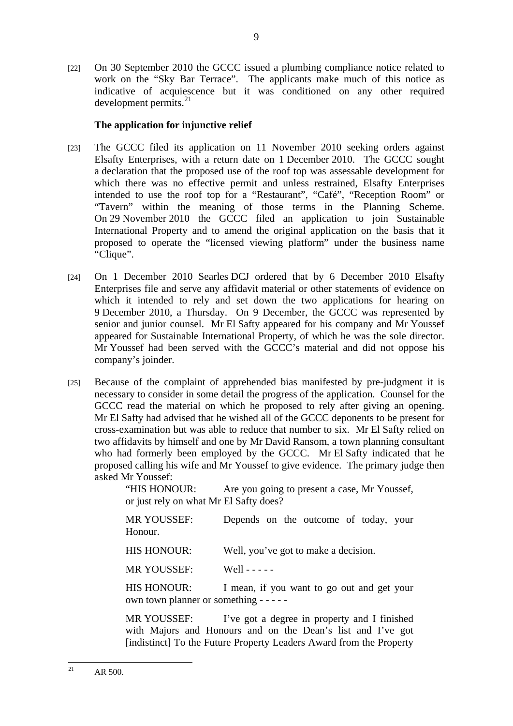[22] On 30 September 2010 the GCCC issued a plumbing compliance notice related to work on the "Sky Bar Terrace". The applicants make much of this notice as indicative of acquiescence but it was conditioned on any other required development permits. $21$ 

## **The application for injunctive relief**

- [23] The GCCC filed its application on 11 November 2010 seeking orders against Elsafty Enterprises, with a return date on 1 December 2010. The GCCC sought a declaration that the proposed use of the roof top was assessable development for which there was no effective permit and unless restrained, Elsafty Enterprises intended to use the roof top for a "Restaurant", "Café", "Reception Room" or "Tavern" within the meaning of those terms in the Planning Scheme. On 29 November 2010 the GCCC filed an application to join Sustainable International Property and to amend the original application on the basis that it proposed to operate the "licensed viewing platform" under the business name "Clique".
- [24] On 1 December 2010 Searles DCJ ordered that by 6 December 2010 Elsafty Enterprises file and serve any affidavit material or other statements of evidence on which it intended to rely and set down the two applications for hearing on 9 December 2010, a Thursday. On 9 December, the GCCC was represented by senior and junior counsel. Mr El Safty appeared for his company and Mr Youssef appeared for Sustainable International Property, of which he was the sole director. Mr Youssef had been served with the GCCC's material and did not oppose his company's joinder.
- [25] Because of the complaint of apprehended bias manifested by pre-judgment it is necessary to consider in some detail the progress of the application. Counsel for the GCCC read the material on which he proposed to rely after giving an opening. Mr El Safty had advised that he wished all of the GCCC deponents to be present for cross-examination but was able to reduce that number to six. Mr El Safty relied on two affidavits by himself and one by Mr David Ransom, a town planning consultant who had formerly been employed by the GCCC. Mr El Safty indicated that he proposed calling his wife and Mr Youssef to give evidence. The primary judge then asked Mr Youssef:

"HIS HONOUR: Are you going to present a case, Mr Youssef, or just rely on what Mr El Safty does?

| <b>MR YOUSSEF:</b><br>Honour.                                 | Depends on the outcome of today, your                                |
|---------------------------------------------------------------|----------------------------------------------------------------------|
| <b>HIS HONOUR:</b>                                            | Well, you've got to make a decision.                                 |
| <b>MR YOUSSEF:</b>                                            | Well - - - - -                                                       |
| <b>HIS HONOUR:</b><br>own town planner or something - - - - - | I mean, if you want to go out and get your                           |
| MD VAHCCEE.                                                   | $\Gamma_{\text{VLO}}$ and a degree in property and $\Gamma$ finished |

MR YOUSSEF: I've got a degree in property and I finished with Majors and Honours and on the Dean's list and I've got [indistinct] To the Future Property Leaders Award from the Property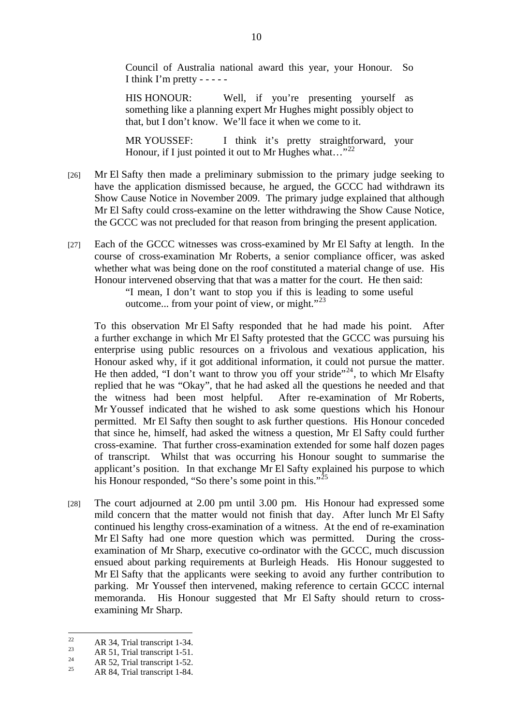Council of Australia national award this year, your Honour. So I think I'm pretty - - - - -

HIS HONOUR: Well, if you're presenting yourself as something like a planning expert Mr Hughes might possibly object to that, but I don't know. We'll face it when we come to it.

MR YOUSSEF: I think it's pretty straightforward, your Honour, if I just pointed it out to Mr Hughes what..."<sup>22</sup>

- [26] Mr El Safty then made a preliminary submission to the primary judge seeking to have the application dismissed because, he argued, the GCCC had withdrawn its Show Cause Notice in November 2009. The primary judge explained that although Mr El Safty could cross-examine on the letter withdrawing the Show Cause Notice, the GCCC was not precluded for that reason from bringing the present application.
- [27] Each of the GCCC witnesses was cross-examined by Mr El Safty at length. In the course of cross-examination Mr Roberts, a senior compliance officer, was asked whether what was being done on the roof constituted a material change of use. His Honour intervened observing that that was a matter for the court. He then said:

"I mean, I don't want to stop you if this is leading to some useful outcome... from your point of view, or might." $^{23}$ 

To this observation Mr El Safty responded that he had made his point. After a further exchange in which Mr El Safty protested that the GCCC was pursuing his enterprise using public resources on a frivolous and vexatious application, his Honour asked why, if it got additional information, it could not pursue the matter. He then added, "I don't want to throw you off your stride"<sup>24</sup>, to which Mr Elsafty replied that he was "Okay", that he had asked all the questions he needed and that the witness had been most helpful. After re-examination of Mr Roberts, Mr Youssef indicated that he wished to ask some questions which his Honour permitted. Mr El Safty then sought to ask further questions. His Honour conceded that since he, himself, had asked the witness a question, Mr El Safty could further cross-examine. That further cross-examination extended for some half dozen pages of transcript. Whilst that was occurring his Honour sought to summarise the applicant's position. In that exchange Mr El Safty explained his purpose to which his Honour responded, "So there's some point in this."<sup>25</sup>

[28] The court adjourned at 2.00 pm until 3.00 pm. His Honour had expressed some mild concern that the matter would not finish that day. After lunch Mr El Safty continued his lengthy cross-examination of a witness. At the end of re-examination Mr El Safty had one more question which was permitted. During the crossexamination of Mr Sharp, executive co-ordinator with the GCCC, much discussion ensued about parking requirements at Burleigh Heads. His Honour suggested to Mr El Safty that the applicants were seeking to avoid any further contribution to parking. Mr Youssef then intervened, making reference to certain GCCC internal memoranda. His Honour suggested that Mr El Safty should return to crossexamining Mr Sharp.

 $22$  $R^2$  AR 34, Trial transcript 1-34.

<sup>&</sup>lt;sup>23</sup> AR 51, Trial transcript 1-51.

 $AR$  52, Trial transcript 1-52.

<sup>25</sup> AR 84, Trial transcript 1-84.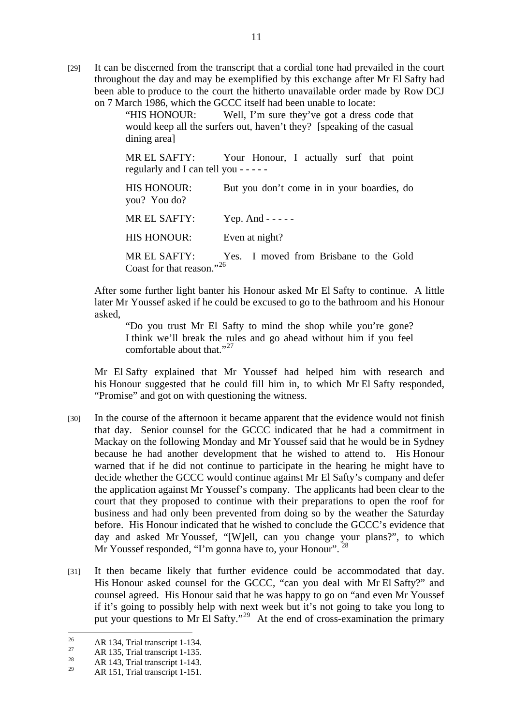[29] It can be discerned from the transcript that a cordial tone had prevailed in the court throughout the day and may be exemplified by this exchange after Mr El Safty had been able to produce to the court the hitherto unavailable order made by Row DCJ on 7 March 1986, which the GCCC itself had been unable to locate:

> "HIS HONOUR: Well, I'm sure they've got a dress code that would keep all the surfers out, haven't they? [speaking of the casual dining area]

> MR EL SAFTY: Your Honour, I actually surf that point regularly and I can tell you - - - - -

> HIS HONOUR: But you don't come in in your boardies, do you? You do?

MR EL SAFTY: Yep. And - - - -

HIS HONOUR: Even at night?

MR EL SAFTY: Yes. I moved from Brisbane to the Gold Coast for that reason."<sup>26</sup>

After some further light banter his Honour asked Mr El Safty to continue. A little later Mr Youssef asked if he could be excused to go to the bathroom and his Honour asked,

"Do you trust Mr El Safty to mind the shop while you're gone? I think we'll break the rules and go ahead without him if you feel comfortable about that."<sup>27</sup>

Mr El Safty explained that Mr Youssef had helped him with research and his Honour suggested that he could fill him in, to which Mr El Safty responded, "Promise" and got on with questioning the witness.

- [30] In the course of the afternoon it became apparent that the evidence would not finish that day. Senior counsel for the GCCC indicated that he had a commitment in Mackay on the following Monday and Mr Youssef said that he would be in Sydney because he had another development that he wished to attend to. His Honour warned that if he did not continue to participate in the hearing he might have to decide whether the GCCC would continue against Mr El Safty's company and defer the application against Mr Youssef's company. The applicants had been clear to the court that they proposed to continue with their preparations to open the roof for business and had only been prevented from doing so by the weather the Saturday before. His Honour indicated that he wished to conclude the GCCC's evidence that day and asked Mr Youssef, "[W]ell, can you change your plans?", to which Mr Youssef responded, "I'm gonna have to, your Honour".<sup>28</sup>
- [31] It then became likely that further evidence could be accommodated that day. His Honour asked counsel for the GCCC, "can you deal with Mr El Safty?" and counsel agreed. His Honour said that he was happy to go on "and even Mr Youssef if it's going to possibly help with next week but it's not going to take you long to put your questions to Mr El Safty."29 At the end of cross-examination the primary

 $26$  $^{26}$  AR 134, Trial transcript 1-134.

 $^{27}$  AR 135, Trial transcript 1-135.

 $\frac{28}{29}$  AR 143, Trial transcript 1-143.

AR 151, Trial transcript 1-151.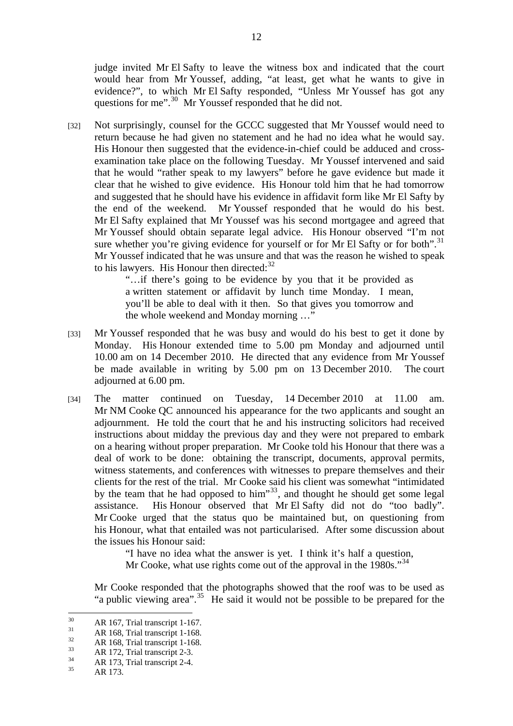judge invited Mr El Safty to leave the witness box and indicated that the court would hear from Mr Youssef, adding, "at least, get what he wants to give in evidence?", to which Mr El Safty responded, "Unless Mr Youssef has got any questions for me".<sup>30</sup> Mr Youssef responded that he did not.

[32] Not surprisingly, counsel for the GCCC suggested that Mr Youssef would need to return because he had given no statement and he had no idea what he would say. His Honour then suggested that the evidence-in-chief could be adduced and crossexamination take place on the following Tuesday. Mr Youssef intervened and said that he would "rather speak to my lawyers" before he gave evidence but made it clear that he wished to give evidence. His Honour told him that he had tomorrow and suggested that he should have his evidence in affidavit form like Mr El Safty by the end of the weekend. Mr Youssef responded that he would do his best. Mr El Safty explained that Mr Youssef was his second mortgagee and agreed that Mr Youssef should obtain separate legal advice. His Honour observed "I'm not sure whether you're giving evidence for yourself or for Mr El Safty or for both".<sup>31</sup> Mr Youssef indicated that he was unsure and that was the reason he wished to speak to his lawyers. His Honour then directed: $32$ 

> "…if there's going to be evidence by you that it be provided as a written statement or affidavit by lunch time Monday. I mean, you'll be able to deal with it then. So that gives you tomorrow and the whole weekend and Monday morning …"

- [33] Mr Youssef responded that he was busy and would do his best to get it done by Monday. His Honour extended time to 5.00 pm Monday and adjourned until 10.00 am on 14 December 2010. He directed that any evidence from Mr Youssef be made available in writing by 5.00 pm on 13 December 2010. The court adjourned at 6.00 pm.
- [34] The matter continued on Tuesday, 14 December 2010 at 11.00 am. Mr NM Cooke QC announced his appearance for the two applicants and sought an adjournment. He told the court that he and his instructing solicitors had received instructions about midday the previous day and they were not prepared to embark on a hearing without proper preparation. Mr Cooke told his Honour that there was a deal of work to be done: obtaining the transcript, documents, approval permits, witness statements, and conferences with witnesses to prepare themselves and their clients for the rest of the trial. Mr Cooke said his client was somewhat "intimidated by the team that he had opposed to him"<sup>33</sup>, and thought he should get some legal assistance. His Honour observed that Mr El Safty did not do "too badly". Mr Cooke urged that the status quo be maintained but, on questioning from his Honour, what that entailed was not particularised. After some discussion about the issues his Honour said:

"I have no idea what the answer is yet. I think it's half a question, Mr Cooke, what use rights come out of the approval in the 1980s."<sup>34</sup>

Mr Cooke responded that the photographs showed that the roof was to be used as "a public viewing area".<sup>35</sup> He said it would not be possible to be prepared for the

 $30<sup>2</sup>$  $^{30}$  AR 167, Trial transcript 1-167.

 $\frac{31}{32}$  AR 168, Trial transcript 1-168.

 $\frac{32}{33}$  AR 168, Trial transcript 1-168.

 $AR$  172, Trial transcript 2-3.

 $\frac{34}{35}$  AR 173, Trial transcript 2-4.

AR 173.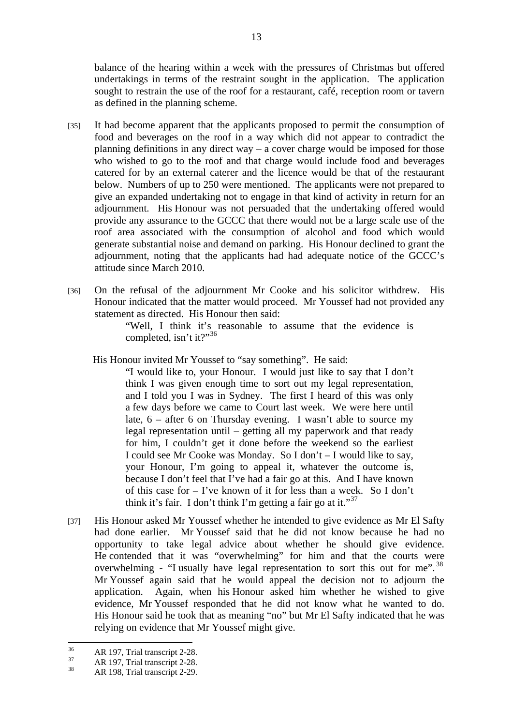balance of the hearing within a week with the pressures of Christmas but offered undertakings in terms of the restraint sought in the application. The application sought to restrain the use of the roof for a restaurant, café, reception room or tavern as defined in the planning scheme.

- [35] It had become apparent that the applicants proposed to permit the consumption of food and beverages on the roof in a way which did not appear to contradict the planning definitions in any direct way – a cover charge would be imposed for those who wished to go to the roof and that charge would include food and beverages catered for by an external caterer and the licence would be that of the restaurant below. Numbers of up to 250 were mentioned. The applicants were not prepared to give an expanded undertaking not to engage in that kind of activity in return for an adjournment. His Honour was not persuaded that the undertaking offered would provide any assurance to the GCCC that there would not be a large scale use of the roof area associated with the consumption of alcohol and food which would generate substantial noise and demand on parking. His Honour declined to grant the adjournment, noting that the applicants had had adequate notice of the GCCC's attitude since March 2010.
- [36] On the refusal of the adjournment Mr Cooke and his solicitor withdrew. His Honour indicated that the matter would proceed. Mr Youssef had not provided any statement as directed. His Honour then said:

"Well, I think it's reasonable to assume that the evidence is completed, isn't it?"<sup>36</sup>

His Honour invited Mr Youssef to "say something". He said:

"I would like to, your Honour. I would just like to say that I don't think I was given enough time to sort out my legal representation, and I told you I was in Sydney. The first I heard of this was only a few days before we came to Court last week. We were here until late, 6 – after 6 on Thursday evening. I wasn't able to source my legal representation until – getting all my paperwork and that ready for him, I couldn't get it done before the weekend so the earliest I could see Mr Cooke was Monday. So I don't – I would like to say, your Honour, I'm going to appeal it, whatever the outcome is, because I don't feel that I've had a fair go at this. And I have known of this case for – I've known of it for less than a week. So I don't think it's fair. I don't think I'm getting a fair go at it."<sup>37</sup>

[37] His Honour asked Mr Youssef whether he intended to give evidence as Mr El Safty had done earlier. Mr Youssef said that he did not know because he had no opportunity to take legal advice about whether he should give evidence. He contended that it was "overwhelming" for him and that the courts were overwhelming - "I usually have legal representation to sort this out for me".<sup>38</sup> Mr Youssef again said that he would appeal the decision not to adjourn the application. Again, when his Honour asked him whether he wished to give evidence, Mr Youssef responded that he did not know what he wanted to do. His Honour said he took that as meaning "no" but Mr El Safty indicated that he was relying on evidence that Mr Youssef might give.

 $36$  $\frac{36}{37}$  AR 197, Trial transcript 2-28.

 $\frac{37}{38}$  AR 197, Trial transcript 2-28.

AR 198, Trial transcript 2-29.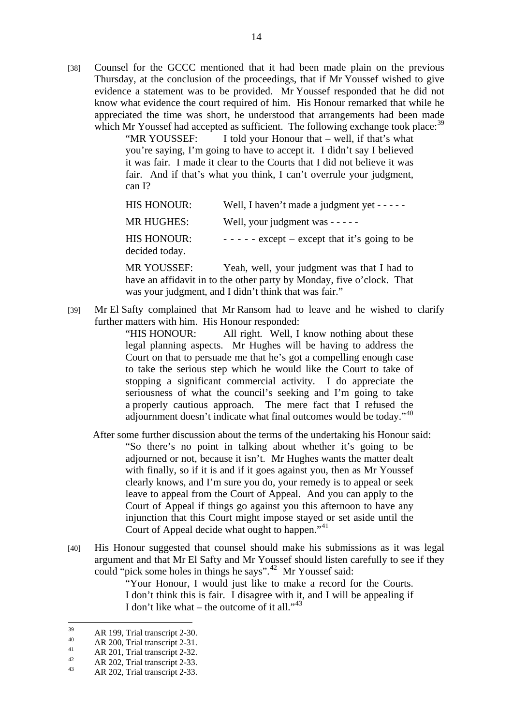[38] Counsel for the GCCC mentioned that it had been made plain on the previous Thursday, at the conclusion of the proceedings, that if Mr Youssef wished to give evidence a statement was to be provided. Mr Youssef responded that he did not know what evidence the court required of him. His Honour remarked that while he appreciated the time was short, he understood that arrangements had been made which Mr Youssef had accepted as sufficient. The following exchange took place:  $39$ 

"MR YOUSSEF: I told your Honour that – well, if that's what you're saying, I'm going to have to accept it. I didn't say I believed it was fair. I made it clear to the Courts that I did not believe it was fair. And if that's what you think, I can't overrule your judgment, can I?

| <b>HIS HONOUR:</b>                   | Well, I haven't made a judgment yet $----$      |
|--------------------------------------|-------------------------------------------------|
| <b>MR HUGHES:</b>                    | Well, your judgment was $---$                   |
| <b>HIS HONOUR:</b><br>decided today. | $- - - -$ except – except that it's going to be |

MR YOUSSEF: Yeah, well, your judgment was that I had to have an affidavit in to the other party by Monday, five o'clock. That was your judgment, and I didn't think that was fair."

[39] Mr El Safty complained that Mr Ransom had to leave and he wished to clarify further matters with him. His Honour responded:

> "HIS HONOUR: All right. Well, I know nothing about these legal planning aspects. Mr Hughes will be having to address the Court on that to persuade me that he's got a compelling enough case to take the serious step which he would like the Court to take of stopping a significant commercial activity. I do appreciate the seriousness of what the council's seeking and I'm going to take a properly cautious approach. The mere fact that I refused the adjournment doesn't indicate what final outcomes would be today."<sup>40</sup>

- After some further discussion about the terms of the undertaking his Honour said: "So there's no point in talking about whether it's going to be adjourned or not, because it isn't. Mr Hughes wants the matter dealt with finally, so if it is and if it goes against you, then as Mr Youssef clearly knows, and I'm sure you do, your remedy is to appeal or seek leave to appeal from the Court of Appeal. And you can apply to the Court of Appeal if things go against you this afternoon to have any injunction that this Court might impose stayed or set aside until the Court of Appeal decide what ought to happen."<sup>41</sup>
- [40] His Honour suggested that counsel should make his submissions as it was legal argument and that Mr El Safty and Mr Youssef should listen carefully to see if they could "pick some holes in things he says".42 Mr Youssef said:

"Your Honour, I would just like to make a record for the Courts. I don't think this is fair. I disagree with it, and I will be appealing if I don't like what – the outcome of it all." $43$ 

<sup>39</sup>  $\frac{39}{40}$  AR 199, Trial transcript 2-30.

 $^{40}$  AR 200, Trial transcript 2-31.

 $AR$  201, Trial transcript 2-32.

 $AR$  202, Trial transcript 2-33.

AR 202, Trial transcript 2-33.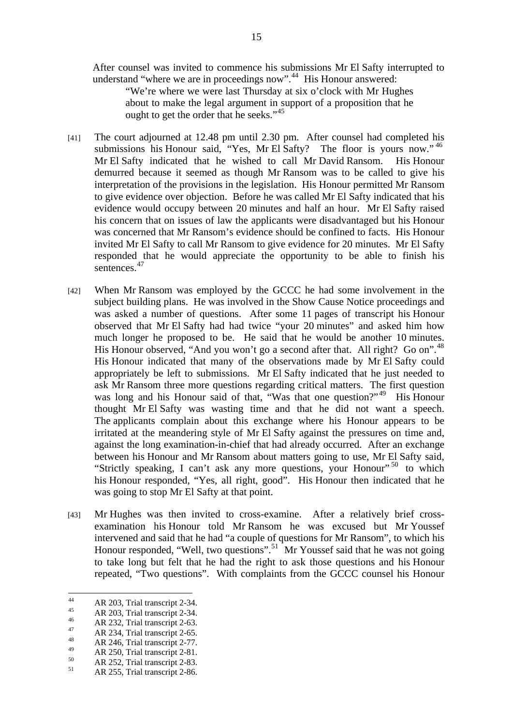After counsel was invited to commence his submissions Mr El Safty interrupted to understand "where we are in proceedings now".<sup>44</sup> His Honour answered:

"We're where we were last Thursday at six o'clock with Mr Hughes about to make the legal argument in support of a proposition that he ought to get the order that he seeks." $45$ 

- [41] The court adjourned at 12.48 pm until 2.30 pm. After counsel had completed his submissions his Honour said, "Yes, Mr El Safty? The floor is yours now."<sup>46</sup> Mr El Safty indicated that he wished to call Mr David Ransom. His Honour demurred because it seemed as though Mr Ransom was to be called to give his interpretation of the provisions in the legislation. His Honour permitted Mr Ransom to give evidence over objection. Before he was called Mr El Safty indicated that his evidence would occupy between 20 minutes and half an hour. Mr El Safty raised his concern that on issues of law the applicants were disadvantaged but his Honour was concerned that Mr Ransom's evidence should be confined to facts. His Honour invited Mr El Safty to call Mr Ransom to give evidence for 20 minutes. Mr El Safty responded that he would appreciate the opportunity to be able to finish his sentences.<sup>47</sup>
- [42] When Mr Ransom was employed by the GCCC he had some involvement in the subject building plans. He was involved in the Show Cause Notice proceedings and was asked a number of questions. After some 11 pages of transcript his Honour observed that Mr El Safty had had twice "your 20 minutes" and asked him how much longer he proposed to be. He said that he would be another 10 minutes. His Honour observed, "And you won't go a second after that. All right? Go on".<sup>48</sup> His Honour indicated that many of the observations made by Mr El Safty could appropriately be left to submissions. Mr El Safty indicated that he just needed to ask Mr Ransom three more questions regarding critical matters. The first question was long and his Honour said of that, "Was that one question?"<sup>49</sup> His Honour thought Mr El Safty was wasting time and that he did not want a speech. The applicants complain about this exchange where his Honour appears to be irritated at the meandering style of Mr El Safty against the pressures on time and, against the long examination-in-chief that had already occurred. After an exchange between his Honour and Mr Ransom about matters going to use, Mr El Safty said, "Strictly speaking, I can't ask any more questions, your Honour"  $50$  to which his Honour responded, "Yes, all right, good". His Honour then indicated that he was going to stop Mr El Safty at that point.
- [43] Mr Hughes was then invited to cross-examine. After a relatively brief crossexamination his Honour told Mr Ransom he was excused but Mr Youssef intervened and said that he had "a couple of questions for Mr Ransom", to which his Honour responded, "Well, two questions".<sup>51</sup> Mr Youssef said that he was not going to take long but felt that he had the right to ask those questions and his Honour repeated, "Two questions". With complaints from the GCCC counsel his Honour

 $44$  $AR$  203, Trial transcript 2-34.

 $AR$  203, Trial transcript 2-34.

 $^{46}$  AR 232, Trial transcript 2-63.

 $AR$  234, Trial transcript 2-65.

 $AR$  246, Trial transcript 2-77.

 $^{49}$  AR 250, Trial transcript 2-81.

 $R$  252, Trial transcript 2-83.

AR 255, Trial transcript 2-86.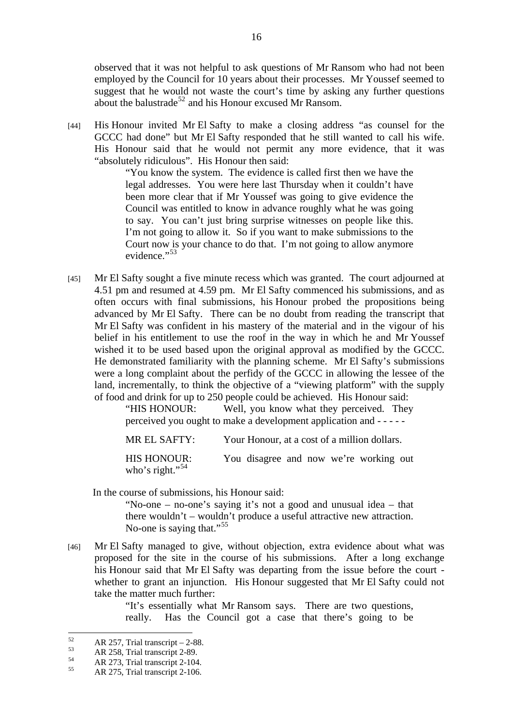observed that it was not helpful to ask questions of Mr Ransom who had not been employed by the Council for 10 years about their processes. Mr Youssef seemed to suggest that he would not waste the court's time by asking any further questions about the balustrade<sup>52</sup> and his Honour excused Mr Ransom.

[44] His Honour invited Mr El Safty to make a closing address "as counsel for the GCCC had done" but Mr El Safty responded that he still wanted to call his wife. His Honour said that he would not permit any more evidence, that it was "absolutely ridiculous". His Honour then said:

> "You know the system. The evidence is called first then we have the legal addresses. You were here last Thursday when it couldn't have been more clear that if Mr Youssef was going to give evidence the Council was entitled to know in advance roughly what he was going to say. You can't just bring surprise witnesses on people like this. I'm not going to allow it. So if you want to make submissions to the Court now is your chance to do that. I'm not going to allow anymore evidence."<sup>53</sup>

[45] Mr El Safty sought a five minute recess which was granted. The court adjourned at 4.51 pm and resumed at 4.59 pm. Mr El Safty commenced his submissions, and as often occurs with final submissions, his Honour probed the propositions being advanced by Mr El Safty. There can be no doubt from reading the transcript that Mr El Safty was confident in his mastery of the material and in the vigour of his belief in his entitlement to use the roof in the way in which he and Mr Youssef wished it to be used based upon the original approval as modified by the GCCC. He demonstrated familiarity with the planning scheme. Mr El Safty's submissions were a long complaint about the perfidy of the GCCC in allowing the lessee of the land, incrementally, to think the objective of a "viewing platform" with the supply of food and drink for up to 250 people could be achieved. His Honour said:

> "HIS HONOUR: Well, you know what they perceived. They perceived you ought to make a development application and - - - - -

MR EL SAFTY: Your Honour, at a cost of a million dollars.

HIS HONOUR: You disagree and now we're working out who's right."<sup>54</sup>

In the course of submissions, his Honour said:

"No-one – no-one's saying it's not a good and unusual idea – that there wouldn't – wouldn't produce a useful attractive new attraction. No-one is saying that."<sup>55</sup>

[46] Mr El Safty managed to give, without objection, extra evidence about what was proposed for the site in the course of his submissions. After a long exchange his Honour said that Mr El Safty was departing from the issue before the court whether to grant an injunction. His Honour suggested that Mr El Safty could not take the matter much further:

> "It's essentially what Mr Ransom says. There are two questions, really. Has the Council got a case that there's going to be

 $52$  $\frac{52}{53}$  AR 257, Trial transcript – 2-88.

 $AR$  258, Trial transcript 2-89.

 $AR$  273, Trial transcript 2-104.

AR 275, Trial transcript 2-106.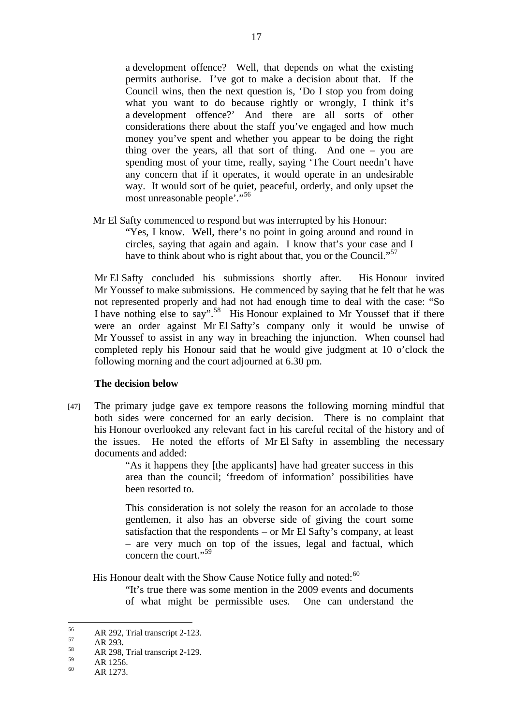a development offence? Well, that depends on what the existing permits authorise. I've got to make a decision about that. If the Council wins, then the next question is, 'Do I stop you from doing what you want to do because rightly or wrongly, I think it's a development offence?' And there are all sorts of other considerations there about the staff you've engaged and how much money you've spent and whether you appear to be doing the right thing over the years, all that sort of thing. And one – you are spending most of your time, really, saying 'The Court needn't have any concern that if it operates, it would operate in an undesirable way. It would sort of be quiet, peaceful, orderly, and only upset the most unreasonable people'."<sup>56</sup>

Mr El Safty commenced to respond but was interrupted by his Honour:

"Yes, I know. Well, there's no point in going around and round in circles, saying that again and again. I know that's your case and I have to think about who is right about that, you or the Council."<sup>57</sup>

Mr El Safty concluded his submissions shortly after. His Honour invited Mr Youssef to make submissions. He commenced by saying that he felt that he was not represented properly and had not had enough time to deal with the case: "So I have nothing else to say".58 His Honour explained to Mr Youssef that if there were an order against Mr El Safty's company only it would be unwise of Mr Youssef to assist in any way in breaching the injunction. When counsel had completed reply his Honour said that he would give judgment at 10 o'clock the following morning and the court adjourned at 6.30 pm.

#### **The decision below**

[47] The primary judge gave ex tempore reasons the following morning mindful that both sides were concerned for an early decision. There is no complaint that his Honour overlooked any relevant fact in his careful recital of the history and of the issues. He noted the efforts of Mr El Safty in assembling the necessary documents and added:

> "As it happens they [the applicants] have had greater success in this area than the council; 'freedom of information' possibilities have been resorted to.

> This consideration is not solely the reason for an accolade to those gentlemen, it also has an obverse side of giving the court some satisfaction that the respondents – or Mr El Safty's company, at least – are very much on top of the issues, legal and factual, which concern the court."<sup>59</sup>

His Honour dealt with the Show Cause Notice fully and noted:<sup>60</sup>

"It's true there was some mention in the 2009 events and documents of what might be permissible uses. One can understand the

<sup>56</sup>  $56$  AR 292, Trial transcript 2-123.

<sup>57</sup> **AR 293.**<br> **AR 298, Trial transcript 2-129.**<br> **S AR 298, Trial transcript 2-129.** 

 $\frac{59}{60}$  AR 1256.

AR 1273.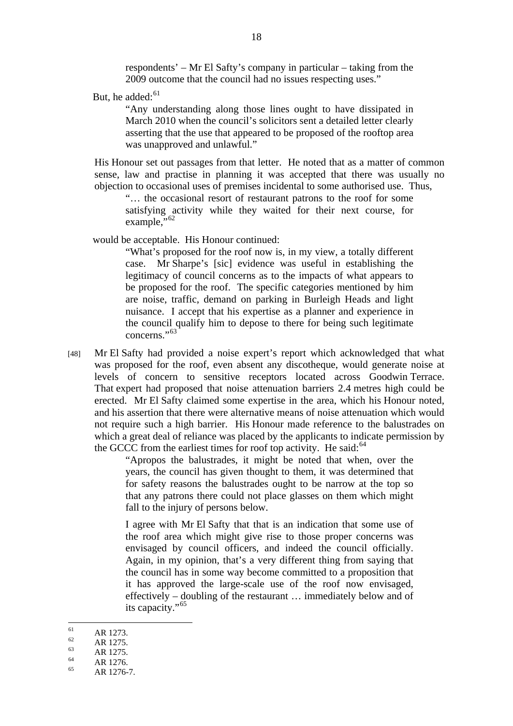respondents' – Mr El Safty's company in particular – taking from the 2009 outcome that the council had no issues respecting uses."

But, he added:<sup>61</sup>

"Any understanding along those lines ought to have dissipated in March 2010 when the council's solicitors sent a detailed letter clearly asserting that the use that appeared to be proposed of the rooftop area was unapproved and unlawful."

His Honour set out passages from that letter. He noted that as a matter of common sense, law and practise in planning it was accepted that there was usually no objection to occasional uses of premises incidental to some authorised use. Thus,

"… the occasional resort of restaurant patrons to the roof for some satisfying activity while they waited for their next course, for example,"<sup>62</sup>

would be acceptable. His Honour continued:

"What's proposed for the roof now is, in my view, a totally different case. Mr Sharpe's [sic] evidence was useful in establishing the legitimacy of council concerns as to the impacts of what appears to be proposed for the roof. The specific categories mentioned by him are noise, traffic, demand on parking in Burleigh Heads and light nuisance. I accept that his expertise as a planner and experience in the council qualify him to depose to there for being such legitimate concerns."<sup>63</sup>

[48] Mr El Safty had provided a noise expert's report which acknowledged that what was proposed for the roof, even absent any discotheque, would generate noise at levels of concern to sensitive receptors located across Goodwin Terrace. That expert had proposed that noise attenuation barriers 2.4 metres high could be erected. Mr El Safty claimed some expertise in the area, which his Honour noted, and his assertion that there were alternative means of noise attenuation which would not require such a high barrier. His Honour made reference to the balustrades on which a great deal of reliance was placed by the applicants to indicate permission by the GCCC from the earliest times for roof top activity. He said: $64$ 

> "Apropos the balustrades, it might be noted that when, over the years, the council has given thought to them, it was determined that for safety reasons the balustrades ought to be narrow at the top so that any patrons there could not place glasses on them which might fall to the injury of persons below.

> I agree with Mr El Safty that that is an indication that some use of the roof area which might give rise to those proper concerns was envisaged by council officers, and indeed the council officially. Again, in my opinion, that's a very different thing from saying that the council has in some way become committed to a proposition that it has approved the large-scale use of the roof now envisaged, effectively – doubling of the restaurant … immediately below and of its capacity."<sup>65</sup>

- 61  $\frac{61}{62}$  AR 1273.
- $\frac{62}{63}$  AR 1275.
- $AR$  1275.
- $\frac{64}{65}$  AR 1276.
- AR 1276-7.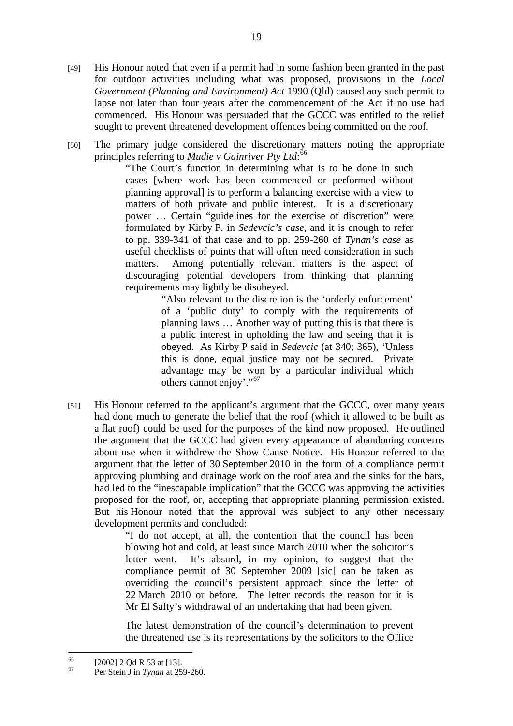- [49] His Honour noted that even if a permit had in some fashion been granted in the past for outdoor activities including what was proposed, provisions in the *Local Government (Planning and Environment) Act* 1990 (Qld) caused any such permit to lapse not later than four years after the commencement of the Act if no use had commenced. His Honour was persuaded that the GCCC was entitled to the relief sought to prevent threatened development offences being committed on the roof.
- [50] The primary judge considered the discretionary matters noting the appropriate principles referring to *Mudie v Gainriver Pty Ltd*: 66

"The Court's function in determining what is to be done in such cases [where work has been commenced or performed without planning approval] is to perform a balancing exercise with a view to matters of both private and public interest. It is a discretionary power … Certain "guidelines for the exercise of discretion" were formulated by Kirby P. in *Sedevcic's case*, and it is enough to refer to pp. 339-341 of that case and to pp. 259-260 of *Tynan's case* as useful checklists of points that will often need consideration in such matters. Among potentially relevant matters is the aspect of discouraging potential developers from thinking that planning requirements may lightly be disobeyed.

> "Also relevant to the discretion is the 'orderly enforcement' of a 'public duty' to comply with the requirements of planning laws … Another way of putting this is that there is a public interest in upholding the law and seeing that it is obeyed. As Kirby P said in *Sedevcic* (at 340; 365), 'Unless this is done, equal justice may not be secured. Private advantage may be won by a particular individual which others cannot enjoy'."<sup>67</sup>

[51] His Honour referred to the applicant's argument that the GCCC, over many years had done much to generate the belief that the roof (which it allowed to be built as a flat roof) could be used for the purposes of the kind now proposed. He outlined the argument that the GCCC had given every appearance of abandoning concerns about use when it withdrew the Show Cause Notice. His Honour referred to the argument that the letter of 30 September 2010 in the form of a compliance permit approving plumbing and drainage work on the roof area and the sinks for the bars, had led to the "inescapable implication" that the GCCC was approving the activities proposed for the roof, or, accepting that appropriate planning permission existed. But his Honour noted that the approval was subject to any other necessary development permits and concluded:

> "I do not accept, at all, the contention that the council has been blowing hot and cold, at least since March 2010 when the solicitor's letter went. It's absurd, in my opinion, to suggest that the compliance permit of 30 September 2009 [sic] can be taken as overriding the council's persistent approach since the letter of 22 March 2010 or before. The letter records the reason for it is Mr El Safty's withdrawal of an undertaking that had been given.

> The latest demonstration of the council's determination to prevent the threatened use is its representations by the solicitors to the Office

 $\overline{a}$ 

 $^{66}$  [2002] 2 Qd R 53 at [13].

<sup>67</sup> Per Stein J in *Tynan* at 259-260.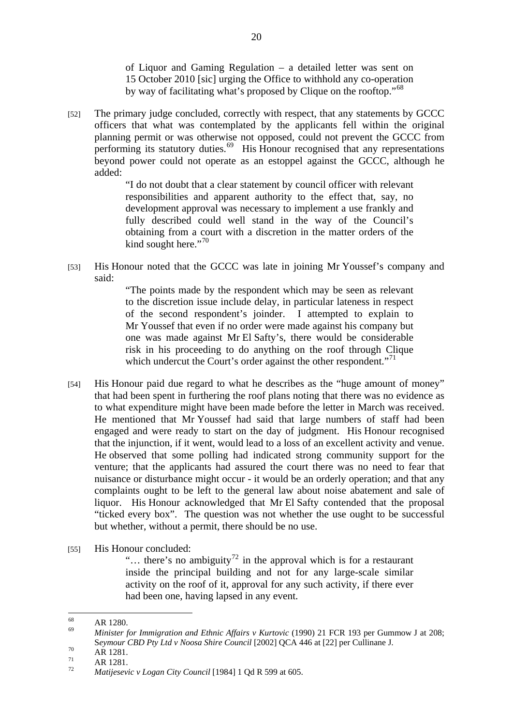of Liquor and Gaming Regulation – a detailed letter was sent on 15 October 2010 [sic] urging the Office to withhold any co-operation by way of facilitating what's proposed by Clique on the rooftop."<sup>68</sup>

[52] The primary judge concluded, correctly with respect, that any statements by GCCC officers that what was contemplated by the applicants fell within the original planning permit or was otherwise not opposed, could not prevent the GCCC from performing its statutory duties.69 His Honour recognised that any representations beyond power could not operate as an estoppel against the GCCC, although he added:

> "I do not doubt that a clear statement by council officer with relevant responsibilities and apparent authority to the effect that, say, no development approval was necessary to implement a use frankly and fully described could well stand in the way of the Council's obtaining from a court with a discretion in the matter orders of the kind sought here." $70$

[53] His Honour noted that the GCCC was late in joining Mr Youssef's company and said:

> "The points made by the respondent which may be seen as relevant to the discretion issue include delay, in particular lateness in respect of the second respondent's joinder. I attempted to explain to Mr Youssef that even if no order were made against his company but one was made against Mr El Safty's, there would be considerable risk in his proceeding to do anything on the roof through Clique which undercut the Court's order against the other respondent."<sup>71</sup>

- [54] His Honour paid due regard to what he describes as the "huge amount of money" that had been spent in furthering the roof plans noting that there was no evidence as to what expenditure might have been made before the letter in March was received. He mentioned that Mr Youssef had said that large numbers of staff had been engaged and were ready to start on the day of judgment. His Honour recognised that the injunction, if it went, would lead to a loss of an excellent activity and venue. He observed that some polling had indicated strong community support for the venture; that the applicants had assured the court there was no need to fear that nuisance or disturbance might occur - it would be an orderly operation; and that any complaints ought to be left to the general law about noise abatement and sale of liquor. His Honour acknowledged that Mr El Safty contended that the proposal "ticked every box". The question was not whether the use ought to be successful but whether, without a permit, there should be no use.
- [55] His Honour concluded:

"... there's no ambiguity<sup>72</sup> in the approval which is for a restaurant inside the principal building and not for any large-scale similar activity on the roof of it, approval for any such activity, if there ever had been one, having lapsed in any event.

<sup>68</sup>  $\frac{68}{69}$  AR 1280.

<sup>69</sup> *Minister for Immigration and Ethnic Affairs v Kurtovic* (1990) 21 FCR 193 per Gummow J at 208; Seymour *CBD Pty Ltd v Noosa Shire Council* [2002] QCA 446 at [22] per Cullinane J.<br>AR 1281.

 $\frac{71}{72}$  AR 1281.

<sup>72</sup> *Matijesevic v Logan City Council* [1984] 1 Qd R 599 at 605.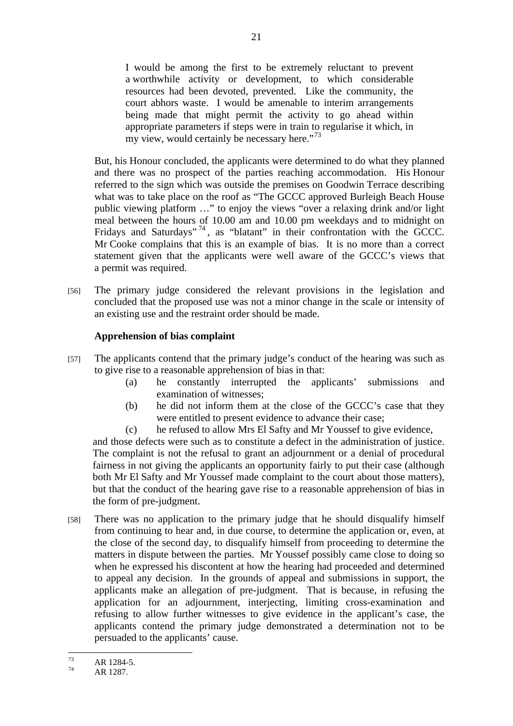I would be among the first to be extremely reluctant to prevent a worthwhile activity or development, to which considerable resources had been devoted, prevented. Like the community, the court abhors waste. I would be amenable to interim arrangements being made that might permit the activity to go ahead within appropriate parameters if steps were in train to regularise it which, in my view, would certainly be necessary here."<sup>73</sup>

But, his Honour concluded, the applicants were determined to do what they planned and there was no prospect of the parties reaching accommodation. His Honour referred to the sign which was outside the premises on Goodwin Terrace describing what was to take place on the roof as "The GCCC approved Burleigh Beach House public viewing platform …" to enjoy the views "over a relaxing drink and/or light meal between the hours of 10.00 am and 10.00 pm weekdays and to midnight on Fridays and Saturdays"<sup>74</sup>, as "blatant" in their confrontation with the GCCC. Mr Cooke complains that this is an example of bias. It is no more than a correct statement given that the applicants were well aware of the GCCC's views that a permit was required.

[56] The primary judge considered the relevant provisions in the legislation and concluded that the proposed use was not a minor change in the scale or intensity of an existing use and the restraint order should be made.

#### **Apprehension of bias complaint**

- [57] The applicants contend that the primary judge's conduct of the hearing was such as to give rise to a reasonable apprehension of bias in that:
	- (a) he constantly interrupted the applicants' submissions and examination of witnesses;
	- (b) he did not inform them at the close of the GCCC's case that they were entitled to present evidence to advance their case;
	- (c) he refused to allow Mrs El Safty and Mr Youssef to give evidence,

and those defects were such as to constitute a defect in the administration of justice. The complaint is not the refusal to grant an adjournment or a denial of procedural fairness in not giving the applicants an opportunity fairly to put their case (although both Mr El Safty and Mr Youssef made complaint to the court about those matters), but that the conduct of the hearing gave rise to a reasonable apprehension of bias in the form of pre-judgment.

[58] There was no application to the primary judge that he should disqualify himself from continuing to hear and, in due course, to determine the application or, even, at the close of the second day, to disqualify himself from proceeding to determine the matters in dispute between the parties. Mr Youssef possibly came close to doing so when he expressed his discontent at how the hearing had proceeded and determined to appeal any decision. In the grounds of appeal and submissions in support, the applicants make an allegation of pre-judgment. That is because, in refusing the application for an adjournment, interjecting, limiting cross-examination and refusing to allow further witnesses to give evidence in the applicant's case, the applicants contend the primary judge demonstrated a determination not to be persuaded to the applicants' cause.

 $73$  $\frac{73}{74}$  AR 1284-5.

AR 1287.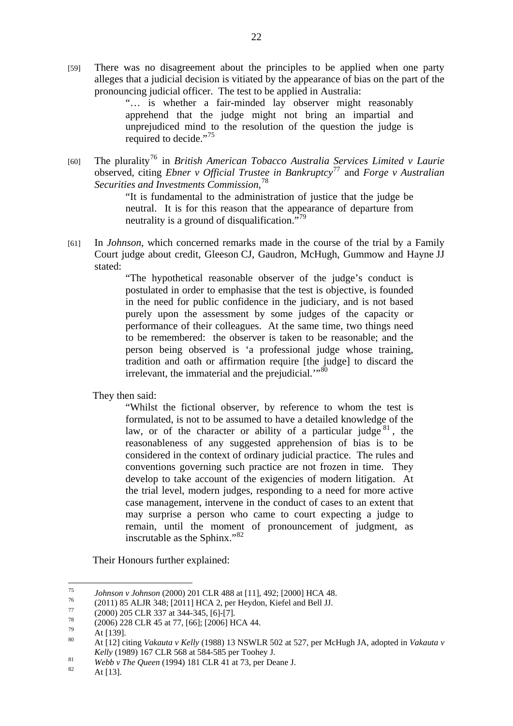[59] There was no disagreement about the principles to be applied when one party alleges that a judicial decision is vitiated by the appearance of bias on the part of the pronouncing judicial officer. The test to be applied in Australia:

> "… is whether a fair-minded lay observer might reasonably apprehend that the judge might not bring an impartial and unprejudiced mind to the resolution of the question the judge is required to decide."<sup>75</sup>

[60] The plurality76 in *British American Tobacco Australia Services Limited v Laurie* observed, citing *Ebner v Official Trustee in Bankruptcy*77 and *Forge v Australian Securities and Investments Commission,*<sup>78</sup>

> "It is fundamental to the administration of justice that the judge be neutral. It is for this reason that the appearance of departure from neutrality is a ground of disqualification."<sup>79</sup>

[61] In *Johnson*, which concerned remarks made in the course of the trial by a Family Court judge about credit, Gleeson CJ, Gaudron, McHugh, Gummow and Hayne JJ stated:

> "The hypothetical reasonable observer of the judge's conduct is postulated in order to emphasise that the test is objective, is founded in the need for public confidence in the judiciary, and is not based purely upon the assessment by some judges of the capacity or performance of their colleagues. At the same time, two things need to be remembered: the observer is taken to be reasonable; and the person being observed is 'a professional judge whose training, tradition and oath or affirmation require [the judge] to discard the irrelevant, the immaterial and the prejudicial."<sup>80</sup>

They then said:

"Whilst the fictional observer, by reference to whom the test is formulated, is not to be assumed to have a detailed knowledge of the law, or of the character or ability of a particular judge  $81$ , the reasonableness of any suggested apprehension of bias is to be considered in the context of ordinary judicial practice. The rules and conventions governing such practice are not frozen in time. They develop to take account of the exigencies of modern litigation. At the trial level, modern judges, responding to a need for more active case management, intervene in the conduct of cases to an extent that may surprise a person who came to court expecting a judge to remain, until the moment of pronouncement of judgment, as inscrutable as the Sphinx."<sup>82</sup>

Their Honours further explained:

<sup>75</sup> 75 *Johnson v Johnson* (2000) 201 CLR 488 at [11], 492; [2000] HCA 48.<br><sup>76</sup> (2011) 85 ALJR 348; [2011] HCA 2, per Heydon, Kiefel and Bell JJ.<br><sup>77</sup> (2000) 205 CLB 227 14 244 245 [5].

 $^{77}$  (2000) 205 CLR 337 at 344-345, [6]-[7].

 $^{78}$  (2006) 228 CLR 45 at 77, [66]; [2006] HCA 44.

 $\frac{79}{80}$  At [139].

<sup>80</sup> At [12] citing *Vakauta v Kelly* (1988) 13 NSWLR 502 at 527, per McHugh JA, adopted in *Vakauta v* 

*Kelly* (1989) 167 CLR 568 at 584-585 per Toohey J.<br> *Webb v The Queen* (1994) 181 CLR 41 at 73, per Deane J.<br>
At [13].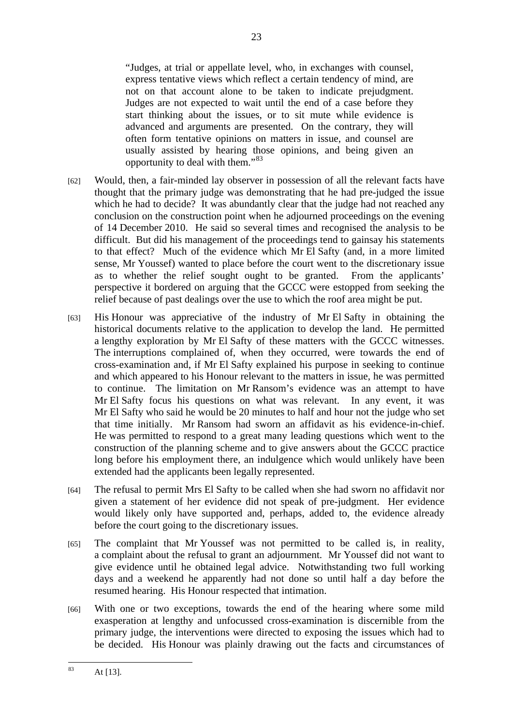"Judges, at trial or appellate level, who, in exchanges with counsel, express tentative views which reflect a certain tendency of mind, are not on that account alone to be taken to indicate prejudgment. Judges are not expected to wait until the end of a case before they start thinking about the issues, or to sit mute while evidence is advanced and arguments are presented. On the contrary, they will often form tentative opinions on matters in issue, and counsel are usually assisted by hearing those opinions, and being given an opportunity to deal with them."<sup>83</sup>

- [62] Would, then, a fair-minded lay observer in possession of all the relevant facts have thought that the primary judge was demonstrating that he had pre-judged the issue which he had to decide? It was abundantly clear that the judge had not reached any conclusion on the construction point when he adjourned proceedings on the evening of 14 December 2010. He said so several times and recognised the analysis to be difficult. But did his management of the proceedings tend to gainsay his statements to that effect? Much of the evidence which Mr El Safty (and, in a more limited sense, Mr Youssef) wanted to place before the court went to the discretionary issue as to whether the relief sought ought to be granted. From the applicants' perspective it bordered on arguing that the GCCC were estopped from seeking the relief because of past dealings over the use to which the roof area might be put.
- [63] His Honour was appreciative of the industry of Mr El Safty in obtaining the historical documents relative to the application to develop the land. He permitted a lengthy exploration by Mr El Safty of these matters with the GCCC witnesses. The interruptions complained of, when they occurred, were towards the end of cross-examination and, if Mr El Safty explained his purpose in seeking to continue and which appeared to his Honour relevant to the matters in issue, he was permitted to continue. The limitation on Mr Ransom's evidence was an attempt to have Mr El Safty focus his questions on what was relevant. In any event, it was Mr El Safty who said he would be 20 minutes to half and hour not the judge who set that time initially. Mr Ransom had sworn an affidavit as his evidence-in-chief. He was permitted to respond to a great many leading questions which went to the construction of the planning scheme and to give answers about the GCCC practice long before his employment there, an indulgence which would unlikely have been extended had the applicants been legally represented.
- [64] The refusal to permit Mrs El Safty to be called when she had sworn no affidavit nor given a statement of her evidence did not speak of pre-judgment. Her evidence would likely only have supported and, perhaps, added to, the evidence already before the court going to the discretionary issues.
- [65] The complaint that Mr Youssef was not permitted to be called is, in reality, a complaint about the refusal to grant an adjournment. Mr Youssef did not want to give evidence until he obtained legal advice. Notwithstanding two full working days and a weekend he apparently had not done so until half a day before the resumed hearing. His Honour respected that intimation.
- [66] With one or two exceptions, towards the end of the hearing where some mild exasperation at lengthy and unfocussed cross-examination is discernible from the primary judge, the interventions were directed to exposing the issues which had to be decided. His Honour was plainly drawing out the facts and circumstances of

 $\overline{83}$ At [13].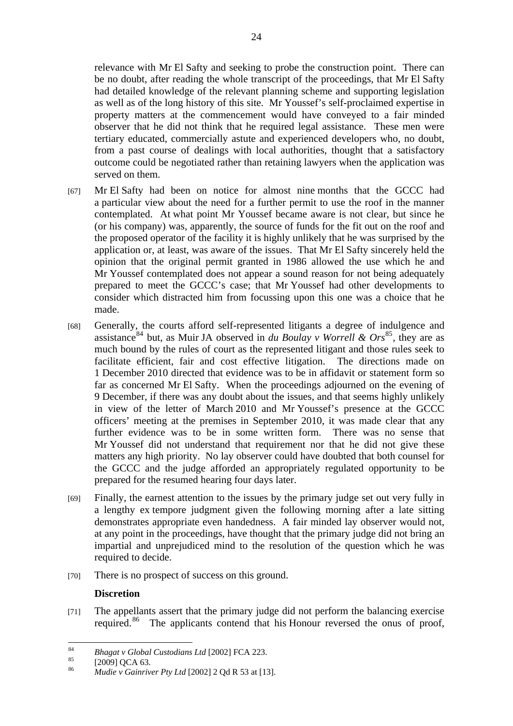relevance with Mr El Safty and seeking to probe the construction point. There can be no doubt, after reading the whole transcript of the proceedings, that Mr El Safty had detailed knowledge of the relevant planning scheme and supporting legislation as well as of the long history of this site. Mr Youssef's self-proclaimed expertise in property matters at the commencement would have conveyed to a fair minded observer that he did not think that he required legal assistance. These men were tertiary educated, commercially astute and experienced developers who, no doubt, from a past course of dealings with local authorities, thought that a satisfactory outcome could be negotiated rather than retaining lawyers when the application was served on them.

- [67] Mr El Safty had been on notice for almost nine months that the GCCC had a particular view about the need for a further permit to use the roof in the manner contemplated. At what point Mr Youssef became aware is not clear, but since he (or his company) was, apparently, the source of funds for the fit out on the roof and the proposed operator of the facility it is highly unlikely that he was surprised by the application or, at least, was aware of the issues. That Mr El Safty sincerely held the opinion that the original permit granted in 1986 allowed the use which he and Mr Youssef contemplated does not appear a sound reason for not being adequately prepared to meet the GCCC's case; that Mr Youssef had other developments to consider which distracted him from focussing upon this one was a choice that he made.
- [68] Generally, the courts afford self-represented litigants a degree of indulgence and assistance<sup>84</sup> but, as Muir JA observed in *du Boulay v Worrell & Ors*<sup>85</sup>, they are as much bound by the rules of court as the represented litigant and those rules seek to facilitate efficient, fair and cost effective litigation. The directions made on 1 December 2010 directed that evidence was to be in affidavit or statement form so far as concerned Mr El Safty. When the proceedings adjourned on the evening of 9 December, if there was any doubt about the issues, and that seems highly unlikely in view of the letter of March 2010 and Mr Youssef's presence at the GCCC officers' meeting at the premises in September 2010, it was made clear that any further evidence was to be in some written form. There was no sense that Mr Youssef did not understand that requirement nor that he did not give these matters any high priority. No lay observer could have doubted that both counsel for the GCCC and the judge afforded an appropriately regulated opportunity to be prepared for the resumed hearing four days later.
- [69] Finally, the earnest attention to the issues by the primary judge set out very fully in a lengthy ex tempore judgment given the following morning after a late sitting demonstrates appropriate even handedness. A fair minded lay observer would not, at any point in the proceedings, have thought that the primary judge did not bring an impartial and unprejudiced mind to the resolution of the question which he was required to decide.
- [70] There is no prospect of success on this ground.

#### **Discretion**

[71] The appellants assert that the primary judge did not perform the balancing exercise required.<sup>86</sup> The applicants contend that his Honour reversed the onus of proof,

<sup>84</sup> 84 *Bhagat v Global Custodians Ltd* [2002] FCA 223.<br>
[2009] QCA 63.

<sup>86</sup> *Mudie v Gainriver Pty Ltd* [2002] 2 Qd R 53 at [13].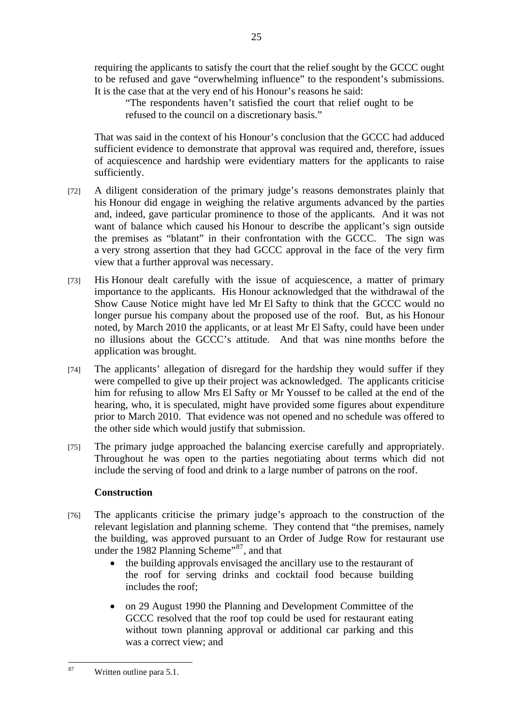requiring the applicants to satisfy the court that the relief sought by the GCCC ought to be refused and gave "overwhelming influence" to the respondent's submissions. It is the case that at the very end of his Honour's reasons he said:

25

"The respondents haven't satisfied the court that relief ought to be refused to the council on a discretionary basis."

That was said in the context of his Honour's conclusion that the GCCC had adduced sufficient evidence to demonstrate that approval was required and, therefore, issues of acquiescence and hardship were evidentiary matters for the applicants to raise sufficiently.

- [72] A diligent consideration of the primary judge's reasons demonstrates plainly that his Honour did engage in weighing the relative arguments advanced by the parties and, indeed, gave particular prominence to those of the applicants. And it was not want of balance which caused his Honour to describe the applicant's sign outside the premises as "blatant" in their confrontation with the GCCC. The sign was a very strong assertion that they had GCCC approval in the face of the very firm view that a further approval was necessary.
- [73] His Honour dealt carefully with the issue of acquiescence, a matter of primary importance to the applicants. His Honour acknowledged that the withdrawal of the Show Cause Notice might have led Mr El Safty to think that the GCCC would no longer pursue his company about the proposed use of the roof. But, as his Honour noted, by March 2010 the applicants, or at least Mr El Safty, could have been under no illusions about the GCCC's attitude. And that was nine months before the application was brought.
- [74] The applicants' allegation of disregard for the hardship they would suffer if they were compelled to give up their project was acknowledged. The applicants criticise him for refusing to allow Mrs El Safty or Mr Youssef to be called at the end of the hearing, who, it is speculated, might have provided some figures about expenditure prior to March 2010. That evidence was not opened and no schedule was offered to the other side which would justify that submission.
- [75] The primary judge approached the balancing exercise carefully and appropriately. Throughout he was open to the parties negotiating about terms which did not include the serving of food and drink to a large number of patrons on the roof.

# **Construction**

- [76] The applicants criticise the primary judge's approach to the construction of the relevant legislation and planning scheme. They contend that "the premises, namely the building, was approved pursuant to an Order of Judge Row for restaurant use under the 1982 Planning Scheme"<sup>87</sup>, and that
	- the building approvals envisaged the ancillary use to the restaurant of the roof for serving drinks and cocktail food because building includes the roof;
	- on 29 August 1990 the Planning and Development Committee of the GCCC resolved that the roof top could be used for restaurant eating without town planning approval or additional car parking and this was a correct view; and

 $87$ Written outline para 5.1.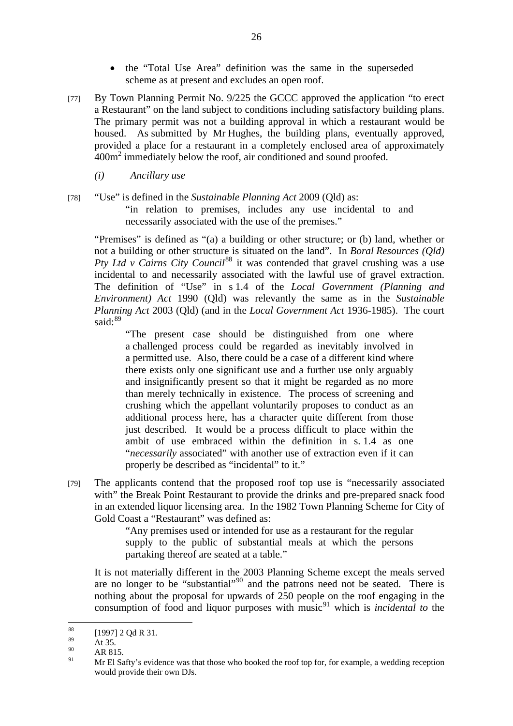- the "Total Use Area" definition was the same in the superseded scheme as at present and excludes an open roof.
- [77] By Town Planning Permit No. 9/225 the GCCC approved the application "to erect a Restaurant" on the land subject to conditions including satisfactory building plans. The primary permit was not a building approval in which a restaurant would be housed. As submitted by Mr Hughes, the building plans, eventually approved, provided a place for a restaurant in a completely enclosed area of approximately 400m<sup>2</sup> immediately below the roof, air conditioned and sound proofed.
	- *(i) Ancillary use*
- [78] "Use" is defined in the *Sustainable Planning Act* 2009 (Qld) as: "in relation to premises, includes any use incidental to and necessarily associated with the use of the premises."

"Premises" is defined as "(a) a building or other structure; or (b) land, whether or not a building or other structure is situated on the land". In *Boral Resources (Qld) Pty Ltd v Cairns City Council*<sup>88</sup> it was contended that gravel crushing was a use incidental to and necessarily associated with the lawful use of gravel extraction. The definition of "Use" in s 1.4 of the *Local Government (Planning and Environment) Act* 1990 (Qld) was relevantly the same as in the *Sustainable Planning Act* 2003 (Qld) (and in the *Local Government Act* 1936-1985). The court said: $89$ 

"The present case should be distinguished from one where a challenged process could be regarded as inevitably involved in a permitted use. Also, there could be a case of a different kind where there exists only one significant use and a further use only arguably and insignificantly present so that it might be regarded as no more than merely technically in existence. The process of screening and crushing which the appellant voluntarily proposes to conduct as an additional process here, has a character quite different from those just described. It would be a process difficult to place within the ambit of use embraced within the definition in s. 1.4 as one "*necessarily* associated" with another use of extraction even if it can properly be described as "incidental" to it."

[79] The applicants contend that the proposed roof top use is "necessarily associated with" the Break Point Restaurant to provide the drinks and pre-prepared snack food in an extended liquor licensing area. In the 1982 Town Planning Scheme for City of Gold Coast a "Restaurant" was defined as:

> "Any premises used or intended for use as a restaurant for the regular supply to the public of substantial meals at which the persons partaking thereof are seated at a table."

It is not materially different in the 2003 Planning Scheme except the meals served are no longer to be "substantial"<sup>90</sup> and the patrons need not be seated. There is nothing about the proposal for upwards of 250 people on the roof engaging in the consumption of food and liquor purposes with music<sup>91</sup> which is *incidental to* the

<sup>88</sup>  $^{88}_{89}$  [1997] 2 Qd R 31.

 $\frac{89}{90}$  At 35.

 $^{90}$  AR 815.

<sup>91</sup> Mr El Safty's evidence was that those who booked the roof top for, for example, a wedding reception would provide their own DJs.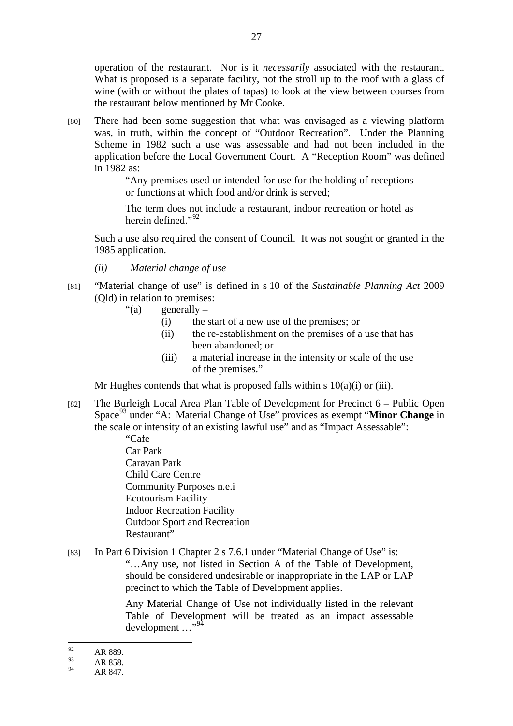operation of the restaurant. Nor is it *necessarily* associated with the restaurant. What is proposed is a separate facility, not the stroll up to the roof with a glass of wine (with or without the plates of tapas) to look at the view between courses from the restaurant below mentioned by Mr Cooke.

[80] There had been some suggestion that what was envisaged as a viewing platform was, in truth, within the concept of "Outdoor Recreation". Under the Planning Scheme in 1982 such a use was assessable and had not been included in the application before the Local Government Court. A "Reception Room" was defined in 1982 as:

> "Any premises used or intended for use for the holding of receptions or functions at which food and/or drink is served;

> The term does not include a restaurant, indoor recreation or hotel as herein defined."<sup>92</sup>

Such a use also required the consent of Council. It was not sought or granted in the 1985 application.

- *(ii) Material change of use*
- [81] "Material change of use" is defined in s 10 of the *Sustainable Planning Act* 2009 (Qld) in relation to premises:
	- "(a) generally  $-$ 
		- (i) the start of a new use of the premises; or
		- (ii) the re-establishment on the premises of a use that has been abandoned; or
		- (iii) a material increase in the intensity or scale of the use of the premises."

Mr Hughes contends that what is proposed falls within s  $10(a)(i)$  or (iii).

[82] The Burleigh Local Area Plan Table of Development for Precinct 6 – Public Open Space93 under "A: Material Change of Use" provides as exempt "**Minor Change** in the scale or intensity of an existing lawful use" and as "Impact Assessable":

> "Cafe Car Park Caravan Park Child Care Centre Community Purposes n.e.i Ecotourism Facility Indoor Recreation Facility Outdoor Sport and Recreation Restaurant"

[83] In Part 6 Division 1 Chapter 2 s 7.6.1 under "Material Change of Use" is:

"…Any use, not listed in Section A of the Table of Development, should be considered undesirable or inappropriate in the LAP or LAP precinct to which the Table of Development applies.

Any Material Change of Use not individually listed in the relevant Table of Development will be treated as an impact assessable development ..."<sup>94</sup>

<sup>92</sup>  $^{92}_{93}$  AR 889.

 $^{93}$  AR 858.

AR 847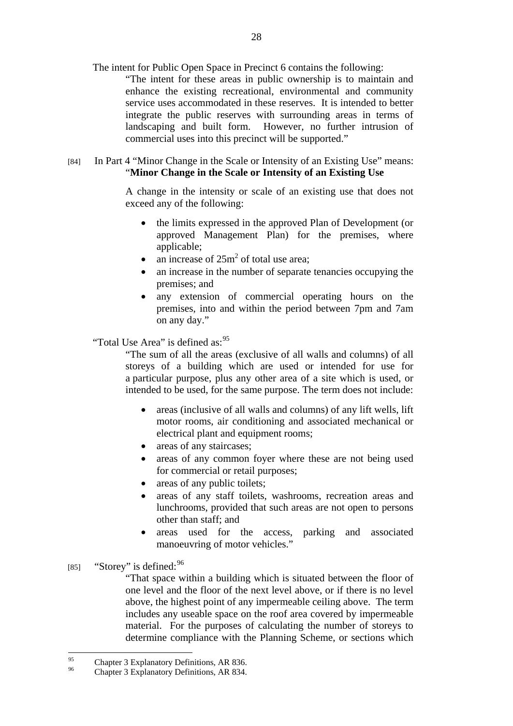The intent for Public Open Space in Precinct 6 contains the following:

"The intent for these areas in public ownership is to maintain and enhance the existing recreational, environmental and community service uses accommodated in these reserves. It is intended to better integrate the public reserves with surrounding areas in terms of landscaping and built form. However, no further intrusion of commercial uses into this precinct will be supported."

## [84] In Part 4 "Minor Change in the Scale or Intensity of an Existing Use" means: "**Minor Change in the Scale or Intensity of an Existing Use**

A change in the intensity or scale of an existing use that does not exceed any of the following:

- the limits expressed in the approved Plan of Development (or approved Management Plan) for the premises, where applicable;
- an increase of  $25m^2$  of total use area;
- an increase in the number of separate tenancies occupying the premises; and
- any extension of commercial operating hours on the premises, into and within the period between 7pm and 7am on any day."

#### "Total Use Area" is defined as: <sup>95</sup>

"The sum of all the areas (exclusive of all walls and columns) of all storeys of a building which are used or intended for use for a particular purpose, plus any other area of a site which is used, or intended to be used, for the same purpose. The term does not include:

- areas (inclusive of all walls and columns) of any lift wells, lift motor rooms, air conditioning and associated mechanical or electrical plant and equipment rooms;
- areas of any staircases;
- areas of any common foyer where these are not being used for commercial or retail purposes;
- areas of any public toilets;
- areas of any staff toilets, washrooms, recreation areas and lunchrooms, provided that such areas are not open to persons other than staff; and
- areas used for the access, parking and associated manoeuvring of motor vehicles."
- [85] "Storey" is defined: <sup>96</sup>

"That space within a building which is situated between the floor of one level and the floor of the next level above, or if there is no level above, the highest point of any impermeable ceiling above. The term includes any useable space on the roof area covered by impermeable material. For the purposes of calculating the number of storeys to determine compliance with the Planning Scheme, or sections which

 $95$ <sup>95</sup> Chapter 3 Explanatory Definitions, AR 836.

Chapter 3 Explanatory Definitions, AR 834.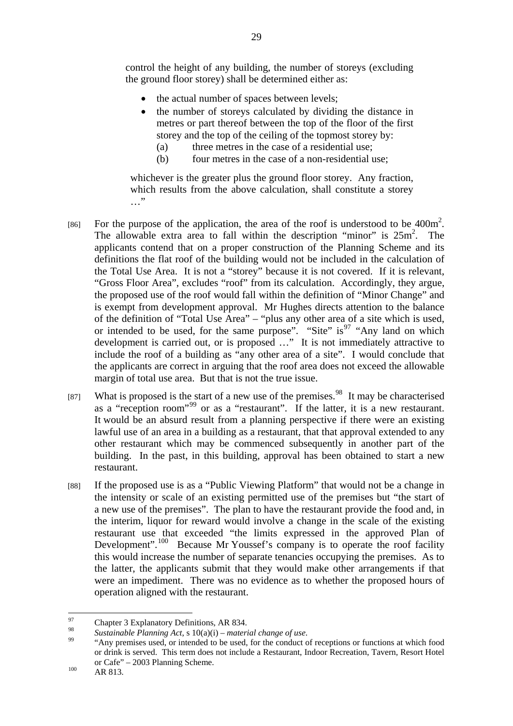control the height of any building, the number of storeys (excluding the ground floor storey) shall be determined either as:

- the actual number of spaces between levels;
- the number of storeys calculated by dividing the distance in metres or part thereof between the top of the floor of the first storey and the top of the ceiling of the topmost storey by:
	- (a) three metres in the case of a residential use;
	- (b) four metres in the case of a non-residential use;

whichever is the greater plus the ground floor storey. Any fraction, which results from the above calculation, shall constitute a storey …"

- [86] For the purpose of the application, the area of the roof is understood to be  $400m^2$ . The allowable extra area to fall within the description "minor" is  $25m^2$ . The applicants contend that on a proper construction of the Planning Scheme and its definitions the flat roof of the building would not be included in the calculation of the Total Use Area. It is not a "storey" because it is not covered. If it is relevant, "Gross Floor Area", excludes "roof" from its calculation. Accordingly, they argue, the proposed use of the roof would fall within the definition of "Minor Change" and is exempt from development approval. Mr Hughes directs attention to the balance of the definition of "Total Use Area" – "plus any other area of a site which is used, or intended to be used, for the same purpose". "Site" is<sup>97</sup> "Any land on which development is carried out, or is proposed …" It is not immediately attractive to include the roof of a building as "any other area of a site". I would conclude that the applicants are correct in arguing that the roof area does not exceed the allowable margin of total use area. But that is not the true issue.
- [87] What is proposed is the start of a new use of the premises.<sup>98</sup> It may be characterised as a "reception room"99 or as a "restaurant". If the latter, it is a new restaurant. It would be an absurd result from a planning perspective if there were an existing lawful use of an area in a building as a restaurant, that that approval extended to any other restaurant which may be commenced subsequently in another part of the building. In the past, in this building, approval has been obtained to start a new restaurant.
- [88] If the proposed use is as a "Public Viewing Platform" that would not be a change in the intensity or scale of an existing permitted use of the premises but "the start of a new use of the premises". The plan to have the restaurant provide the food and, in the interim, liquor for reward would involve a change in the scale of the existing restaurant use that exceeded "the limits expressed in the approved Plan of Development".<sup>100</sup> Because Mr Youssef's company is to operate the roof facility this would increase the number of separate tenancies occupying the premises. As to the latter, the applicants submit that they would make other arrangements if that were an impediment. There was no evidence as to whether the proposed hours of operation aligned with the restaurant.

<sup>97</sup> <sup>97</sup> Chapter 3 Explanatory Definitions, AR 834.

<sup>&</sup>lt;sup>98</sup> Sustainable Planning Act, s 10(a)(i) – *material change of use*.<br><sup>99</sup> "Any premises used, or intended to be used, for the conduct of receptions or functions at which food or drink is served. This term does not include a Restaurant, Indoor Recreation, Tavern, Resort Hotel or Cafe" – 2003 Planning Scheme.<br>AR 813.